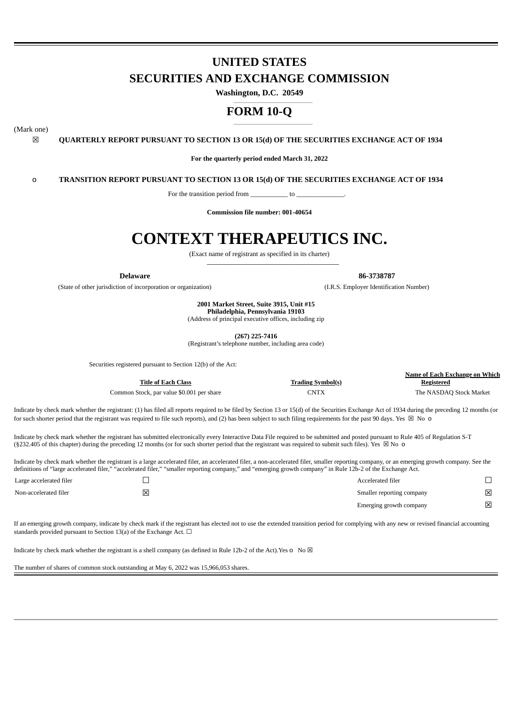# **UNITED STATES SECURITIES AND EXCHANGE COMMISSION**

**Washington, D.C. 20549**

 $\mathcal{L}=\mathcal{L}=\mathcal{L}=\mathcal{L}=\mathcal{L}=\mathcal{L}=\mathcal{L}=\mathcal{L}=\mathcal{L}=\mathcal{L}=\mathcal{L}=\mathcal{L}=\mathcal{L}=\mathcal{L}=\mathcal{L}=\mathcal{L}=\mathcal{L}=\mathcal{L}=\mathcal{L}=\mathcal{L}=\mathcal{L}=\mathcal{L}=\mathcal{L}=\mathcal{L}=\mathcal{L}=\mathcal{L}=\mathcal{L}=\mathcal{L}=\mathcal{L}=\mathcal{L}=\mathcal{L}=\mathcal{L}=\mathcal{L}=\mathcal{L}=\mathcal{L}=\mathcal{L}=\mathcal{$ 

 $\_$ 

# **FORM 10-Q**

(Mark one)

☒ **QUARTERLY REPORT PURSUANT TO SECTION 13 OR 15(d) OF THE SECURITIES EXCHANGE ACT OF 1934**

**For the quarterly period ended March 31, 2022**

o **TRANSITION REPORT PURSUANT TO SECTION 13 OR 15(d) OF THE SECURITIES EXCHANGE ACT OF 1934**

For the transition period from  $\frac{1}{\sqrt{1-\frac{1}{n}}}\$ to  $\frac{1}{\sqrt{1-\frac{1}{n}}}\$ 

**Commission file number: 001-40654**

# **CONTEXT THERAPEUTICS INC.**

(Exact name of registrant as specified in its charter)

\_\_\_\_\_\_\_\_\_\_\_\_\_\_\_\_\_\_\_\_\_\_\_\_\_\_\_\_\_\_\_\_\_\_\_

(State of other jurisdiction of incorporation or organization) (I.R.S. Employer Identification Number)

**Delaware 86-3738787**

**Name of Each Exchange on Which**

**2001 Market Street, Suite 3915, Unit #15 Philadelphia, Pennsylvania 19103** (Address of principal executive offices, including zip

**(267) 225-7416**

(Registrant's telephone number, including area code)

Securities registered pursuant to Section 12(b) of the Act:

| <b>Title of Each Class</b>                                                                                                                                                                                                                                                                                                                                                        | <b>Trading Symbol(s)</b> | <b>Registered</b>       |
|-----------------------------------------------------------------------------------------------------------------------------------------------------------------------------------------------------------------------------------------------------------------------------------------------------------------------------------------------------------------------------------|--------------------------|-------------------------|
| Common Stock, par value \$0.001 per share                                                                                                                                                                                                                                                                                                                                         | <b>CNTX</b>              | The NASDAQ Stock Market |
| Indicate by check mark whether the registrant: (1) has filed all reports required to be filed by Section 13 or 15(d) of the Securities Exchange Act of 1934 during the preceding 12 months (or<br>for such shorter period that the registrant was required to file such reports), and (2) has been subject to such filing requirements for the past 90 days. Yes $\boxtimes$ No o |                          |                         |
| Indicate by check mark whether the registrant has submitted electronically every Interactive Data File required to be submitted and posted pursuant to Rule 405 of Regulation S-T<br>(§232.405 of this chapter) during the preceding 12 months (or for such shorter period that the registrant was required to submit such files). Yes $\boxtimes$ No 0                           |                          |                         |

Indicate by check mark whether the registrant is a large accelerated filer, an accelerated filer, a non-accelerated filer, smaller reporting company, or an emerging growth company. See the definitions of "large accelerated filer," "accelerated filer," "smaller reporting company," and "emerging growth company" in Rule 12b-2 of the Exchange Act.

| Large accelerated filer | ─ | Accelerated filer         |   |
|-------------------------|---|---------------------------|---|
| Non-accelerated filer   | ⊠ | Smaller reporting company | ⊠ |
|                         |   | Emerging growth company   | X |

If an emerging growth company, indicate by check mark if the registrant has elected not to use the extended transition period for complying with any new or revised financial accounting standards provided pursuant to Section 13(a) of the Exchange Act.  $\Box$ 

Indicate by check mark whether the registrant is a shell company (as defined in Rule 12b-2 of the Act).Yes 0 No  $\boxtimes$ 

<span id="page-0-0"></span>The number of shares of common stock outstanding at May 6, 2022 was 15,966,053 shares.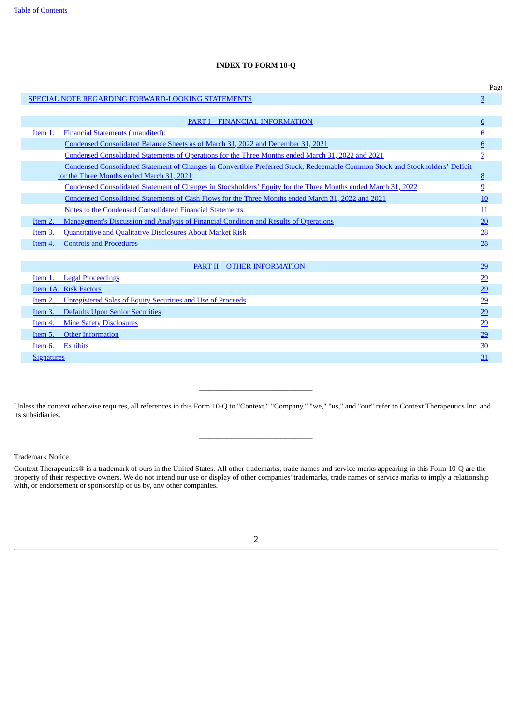## **INDEX TO FORM 10-Q**

|                                                                                                                               | Page             |
|-------------------------------------------------------------------------------------------------------------------------------|------------------|
| <b>SPECIAL NOTE REGARDING FORWARD-LOOKING STATEMENTS</b>                                                                      | 3                |
|                                                                                                                               |                  |
| <b>PART I - FINANCIAL INFORMATION</b>                                                                                         | $6\overline{6}$  |
| <b>Financial Statements (unaudited):</b><br>Item 1.                                                                           | $6 \overline{6}$ |
| Condensed Consolidated Balance Sheets as of March 31, 2022 and December 31, 2021                                              | $6 \overline{6}$ |
| Condensed Consolidated Statements of Operations for the Three Months ended March 31, 2022 and 2021                            | $\overline{Z}$   |
| Condensed Consolidated Statement of Changes in Convertible Preferred Stock, Redeemable Common Stock and Stockholders' Deficit |                  |
| for the Three Months ended March 31, 2021                                                                                     | 8                |
| Condensed Consolidated Statement of Changes in Stockholders' Equity for the Three Months ended March 31, 2022                 | 9                |
| Condensed Consolidated Statements of Cash Flows for the Three Months ended March 31, 2022 and 2021                            | 10               |
| <b>Notes to the Condensed Consolidated Financial Statements</b>                                                               | 11               |
| Management's Discussion and Analysis of Financial Condition and Results of Operations<br>Item 2.                              | 20               |
| <b>Quantitative and Qualitative Disclosures About Market Risk</b><br>Item 3.                                                  | 28               |
| <b>Controls and Procedures</b><br>Item 4.                                                                                     | 28               |
|                                                                                                                               |                  |
| <b>PART II - OTHER INFORMATION</b>                                                                                            | 29               |
| <b>Legal Proceedings</b><br>Item 1.                                                                                           | 29               |
| Item 1A. Risk Factors                                                                                                         | 29               |
| Unregistered Sales of Equity Securities and Use of Proceeds<br>Item 2.                                                        | 29               |
| <b>Defaults Upon Senior Securities</b><br>Item 3.                                                                             | 29               |
| <b>Mine Safety Disclosures</b><br>Item 4.                                                                                     | 29               |
| <b>Other Information</b><br>Item 5.                                                                                           | 29               |
| <b>Exhibits</b><br>Item 6.                                                                                                    | 30               |
| <b>Signatures</b>                                                                                                             | 31               |
|                                                                                                                               |                  |

Unless the context otherwise requires, all references in this Form 10-Q to "Context," "Company," "we," "us," and "our" refer to Context Therapeutics Inc. and its subsidiaries.

\_\_\_\_\_\_\_\_\_\_\_\_\_\_\_\_\_\_\_\_\_\_\_\_\_

\_\_\_\_\_\_\_\_\_\_\_\_\_\_\_\_\_\_\_\_\_\_\_\_\_

# Trademark Notice

<span id="page-1-0"></span>Context Therapeutics® is a trademark of ours in the United States. All other trademarks, trade names and service marks appearing in this Form 10-Q are the property of their respective owners. We do not intend our use or display of other companies' trademarks, trade names or service marks to imply a relationship with, or endorsement or sponsorship of us by, any other companies.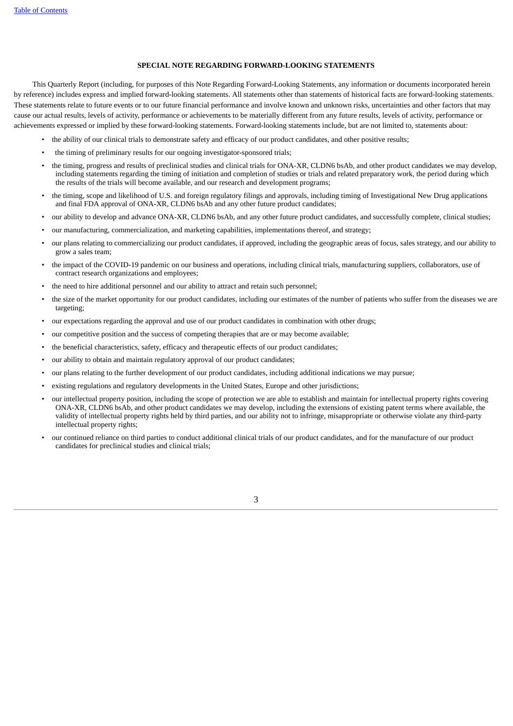## **SPECIAL NOTE REGARDING FORWARD-LOOKING STATEMENTS**

This Quarterly Report (including, for purposes of this Note Regarding Forward-Looking Statements, any information or documents incorporated herein by reference) includes express and implied forward-looking statements. All statements other than statements of historical facts are forward-looking statements. These statements relate to future events or to our future financial performance and involve known and unknown risks, uncertainties and other factors that may cause our actual results, levels of activity, performance or achievements to be materially different from any future results, levels of activity, performance or achievements expressed or implied by these forward-looking statements. Forward-looking statements include, but are not limited to, statements about:

- the ability of our clinical trials to demonstrate safety and efficacy of our product candidates, and other positive results;
- the timing of preliminary results for our ongoing investigator-sponsored trials;
- the timing, progress and results of preclinical studies and clinical trials for ONA-XR, CLDN6 bsAb, and other product candidates we may develop, including statements regarding the timing of initiation and completion of studies or trials and related preparatory work, the period during which the results of the trials will become available, and our research and development programs;
- the timing, scope and likelihood of U.S. and foreign regulatory filings and approvals, including timing of Investigational New Drug applications and final FDA approval of ONA-XR, CLDN6 bsAb and any other future product candidates;
- our ability to develop and advance ONA-XR, CLDN6 bsAb, and any other future product candidates, and successfully complete, clinical studies;
- our manufacturing, commercialization, and marketing capabilities, implementations thereof, and strategy;
- our plans relating to commercializing our product candidates, if approved, including the geographic areas of focus, sales strategy, and our ability to grow a sales team;
- the impact of the COVID-19 pandemic on our business and operations, including clinical trials, manufacturing suppliers, collaborators, use of contract research organizations and employees;
- the need to hire additional personnel and our ability to attract and retain such personnel;
- the size of the market opportunity for our product candidates, including our estimates of the number of patients who suffer from the diseases we are targeting;
- our expectations regarding the approval and use of our product candidates in combination with other drugs;
- our competitive position and the success of competing therapies that are or may become available;
- the beneficial characteristics, safety, efficacy and therapeutic effects of our product candidates;
- our ability to obtain and maintain regulatory approval of our product candidates;
- our plans relating to the further development of our product candidates, including additional indications we may pursue;
- existing regulations and regulatory developments in the United States, Europe and other jurisdictions;
- our intellectual property position, including the scope of protection we are able to establish and maintain for intellectual property rights covering ONA-XR, CLDN6 bsAb, and other product candidates we may develop, including the extensions of existing patent terms where available, the validity of intellectual property rights held by third parties, and our ability not to infringe, misappropriate or otherwise violate any third-party intellectual property rights;
- our continued reliance on third parties to conduct additional clinical trials of our product candidates, and for the manufacture of our product candidates for preclinical studies and clinical trials;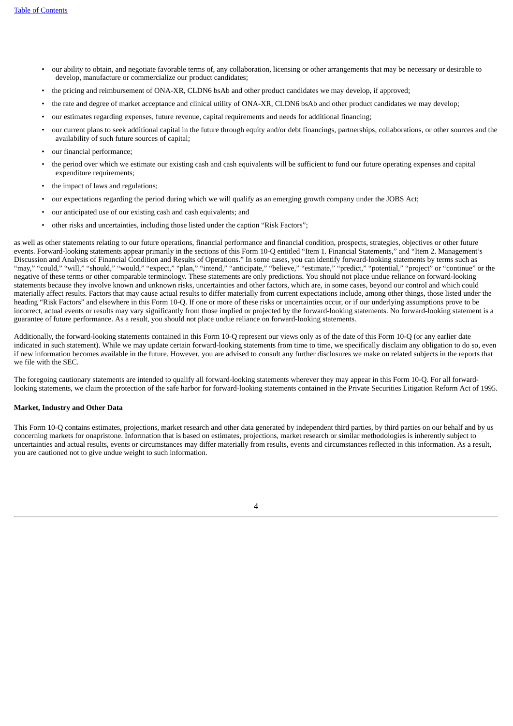- our ability to obtain, and negotiate favorable terms of, any collaboration, licensing or other arrangements that may be necessary or desirable to develop, manufacture or commercialize our product candidates;
- the pricing and reimbursement of ONA-XR, CLDN6 bsAb and other product candidates we may develop, if approved;
- the rate and degree of market acceptance and clinical utility of ONA-XR, CLDN6 bsAb and other product candidates we may develop;
- our estimates regarding expenses, future revenue, capital requirements and needs for additional financing;
- our current plans to seek additional capital in the future through equity and/or debt financings, partnerships, collaborations, or other sources and the availability of such future sources of capital;
- our financial performance;
- the period over which we estimate our existing cash and cash equivalents will be sufficient to fund our future operating expenses and capital expenditure requirements;
- the impact of laws and regulations;
- our expectations regarding the period during which we will qualify as an emerging growth company under the JOBS Act;
- our anticipated use of our existing cash and cash equivalents; and
- other risks and uncertainties, including those listed under the caption "Risk Factors";

as well as other statements relating to our future operations, financial performance and financial condition, prospects, strategies, objectives or other future events. Forward-looking statements appear primarily in the sections of this Form 10-Q entitled "Item 1. Financial Statements," and "Item 2. Management's Discussion and Analysis of Financial Condition and Results of Operations." In some cases, you can identify forward-looking statements by terms such as "may," "could," "will," "should," "would," "expect," "plan," "intend," "anticipate," "believe," "estimate," "predict," "potential," "project" or "continue" or the negative of these terms or other comparable terminology. These statements are only predictions. You should not place undue reliance on forward-looking statements because they involve known and unknown risks, uncertainties and other factors, which are, in some cases, beyond our control and which could materially affect results. Factors that may cause actual results to differ materially from current expectations include, among other things, those listed under the heading "Risk Factors" and elsewhere in this Form 10-Q. If one or more of these risks or uncertainties occur, or if our underlying assumptions prove to be incorrect, actual events or results may vary significantly from those implied or projected by the forward-looking statements. No forward-looking statement is a guarantee of future performance. As a result, you should not place undue reliance on forward-looking statements.

Additionally, the forward-looking statements contained in this Form 10-Q represent our views only as of the date of this Form 10-Q (or any earlier date indicated in such statement). While we may update certain forward-looking statements from time to time, we specifically disclaim any obligation to do so, even if new information becomes available in the future. However, you are advised to consult any further disclosures we make on related subjects in the reports that we file with the SEC.

The foregoing cautionary statements are intended to qualify all forward-looking statements wherever they may appear in this Form 10-Q. For all forwardlooking statements, we claim the protection of the safe harbor for forward-looking statements contained in the Private Securities Litigation Reform Act of 1995.

## **Market, Industry and Other Data**

This Form 10-Q contains estimates, projections, market research and other data generated by independent third parties, by third parties on our behalf and by us concerning markets for onapristone. Information that is based on estimates, projections, market research or similar methodologies is inherently subject to uncertainties and actual results, events or circumstances may differ materially from results, events and circumstances reflected in this information. As a result, you are cautioned not to give undue weight to such information.

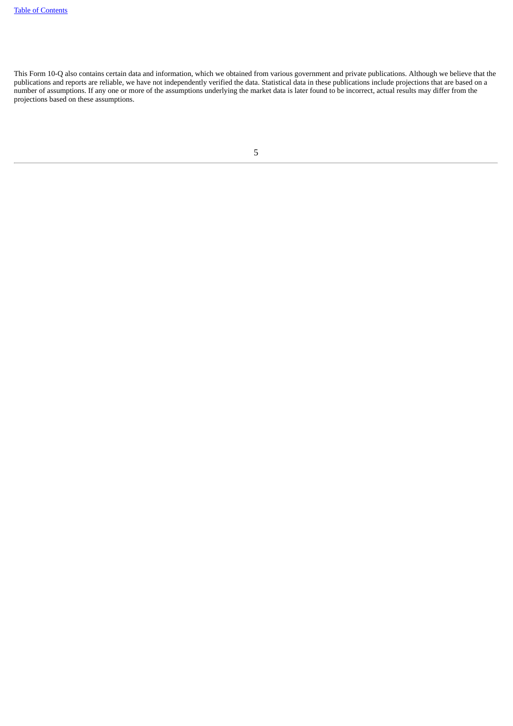<span id="page-4-0"></span>This Form 10-Q also contains certain data and information, which we obtained from various government and private publications. Although we believe that the publications and reports are reliable, we have not independently verified the data. Statistical data in these publications include projections that are based on a number of assumptions. If any one or more of the assumptions underlying the market data is later found to be incorrect, actual results may differ from the projections based on these assumptions.

|  | ۰. |  |
|--|----|--|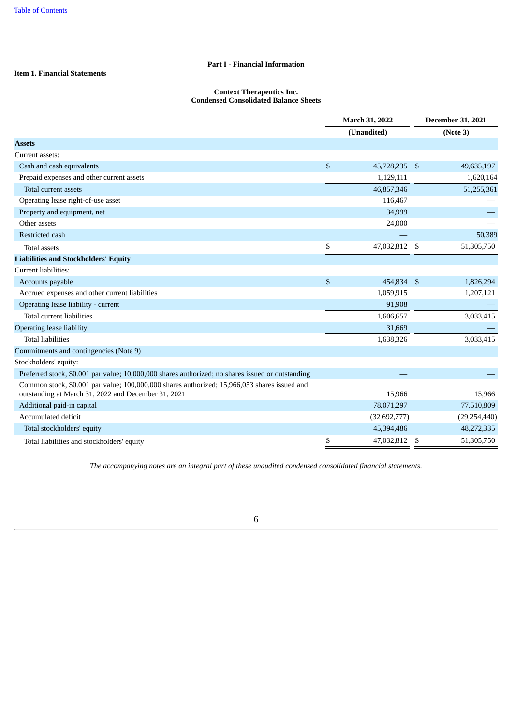## **Part I - Financial Information**

# <span id="page-5-1"></span><span id="page-5-0"></span>**Item 1. Financial Statements**

## **Context Therapeutics Inc. Condensed Consolidated Balance Sheets**

|                                                                                                                                                     | <b>March 31, 2022</b> | <b>December 31, 2021</b> |                |  |
|-----------------------------------------------------------------------------------------------------------------------------------------------------|-----------------------|--------------------------|----------------|--|
|                                                                                                                                                     | (Unaudited)           |                          | (Note 3)       |  |
| <b>Assets</b>                                                                                                                                       |                       |                          |                |  |
| Current assets:                                                                                                                                     |                       |                          |                |  |
| Cash and cash equivalents                                                                                                                           | \$<br>45,728,235 \$   |                          | 49,635,197     |  |
| Prepaid expenses and other current assets                                                                                                           | 1,129,111             |                          | 1,620,164      |  |
| Total current assets                                                                                                                                | 46,857,346            |                          | 51,255,361     |  |
| Operating lease right-of-use asset                                                                                                                  | 116,467               |                          |                |  |
| Property and equipment, net                                                                                                                         | 34,999                |                          |                |  |
| Other assets                                                                                                                                        | 24,000                |                          |                |  |
| <b>Restricted cash</b>                                                                                                                              |                       |                          | 50,389         |  |
| <b>Total assets</b>                                                                                                                                 | \$<br>47,032,812      | -\$                      | 51,305,750     |  |
| <b>Liabilities and Stockholders' Equity</b>                                                                                                         |                       |                          |                |  |
| Current liabilities:                                                                                                                                |                       |                          |                |  |
| Accounts payable                                                                                                                                    | \$<br>454,834 \$      |                          | 1,826,294      |  |
| Accrued expenses and other current liabilities                                                                                                      | 1,059,915             |                          | 1,207,121      |  |
| Operating lease liability - current                                                                                                                 | 91,908                |                          |                |  |
| Total current liabilities                                                                                                                           | 1,606,657             |                          | 3,033,415      |  |
| Operating lease liability                                                                                                                           | 31,669                |                          |                |  |
| <b>Total liabilities</b>                                                                                                                            | 1,638,326             |                          | 3,033,415      |  |
| Commitments and contingencies (Note 9)                                                                                                              |                       |                          |                |  |
| Stockholders' equity:                                                                                                                               |                       |                          |                |  |
| Preferred stock, \$0.001 par value; 10,000,000 shares authorized; no shares issued or outstanding                                                   |                       |                          |                |  |
| Common stock, \$0.001 par value; 100,000,000 shares authorized; 15,966,053 shares issued and<br>outstanding at March 31, 2022 and December 31, 2021 | 15,966                |                          | 15,966         |  |
| Additional paid-in capital                                                                                                                          | 78,071,297            |                          | 77,510,809     |  |
| Accumulated deficit                                                                                                                                 | (32, 692, 777)        |                          | (29, 254, 440) |  |
| Total stockholders' equity                                                                                                                          | 45,394,486            |                          | 48,272,335     |  |
| Total liabilities and stockholders' equity                                                                                                          | \$<br>47,032,812      | -\$                      | 51,305,750     |  |

<span id="page-5-2"></span>*The accompanying notes are an integral part of these unaudited condensed consolidated financial statements.*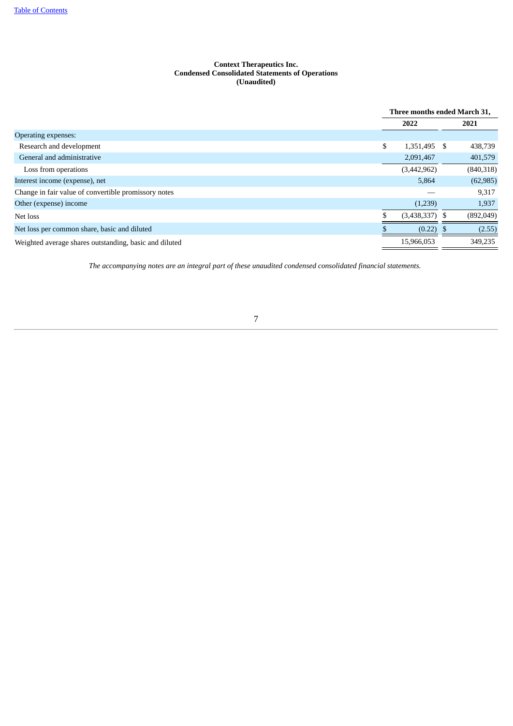## **Context Therapeutics Inc. Condensed Consolidated Statements of Operations (Unaudited)**

| Three months ended March 31, |
|------------------------------|
| 2021                         |
|                              |
| 438,739                      |
| 401,579                      |
| (840,318)                    |
| (62, 985)                    |
| 9,317                        |
| 1,937                        |
| (892,049)                    |
| (2.55)                       |
| 349,235                      |
|                              |

<span id="page-6-0"></span>*The accompanying notes are an integral part of these unaudited condensed consolidated financial statements.*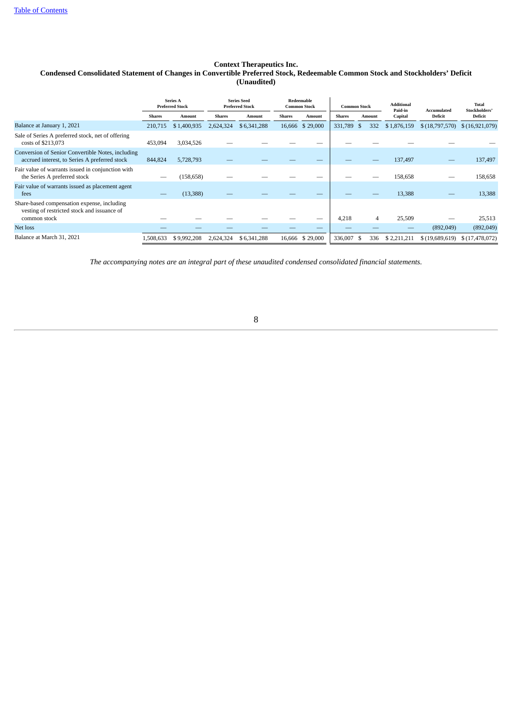## **Context Therapeutics Inc.** Condensed Consolidated Statement of Changes in Convertible Preferred Stock, Redeemable Common Stock and Stockholders' Deficit **(Unaudited)**

|                                                                                                            |               | Series A<br><b>Preferred Stock</b> |               | <b>Series Seed</b><br><b>Preferred Stock</b> | Redeemable<br><b>Common Stock</b> |          | <b>Common Stock</b> |        | <b>Additional</b><br>Paid-in | <b>Accumulated</b> | <b>Total</b><br>Stockholders' |                  |
|------------------------------------------------------------------------------------------------------------|---------------|------------------------------------|---------------|----------------------------------------------|-----------------------------------|----------|---------------------|--------|------------------------------|--------------------|-------------------------------|------------------|
|                                                                                                            | <b>Shares</b> | <b>Amount</b>                      | <b>Shares</b> | Amount                                       | <b>Shares</b>                     | Amount   | <b>Shares</b>       | Amount |                              | Capital            | Deficit                       | Deficit          |
| Balance at January 1, 2021                                                                                 | 210,715       | \$1,400,935                        | 2,624,324     | \$6,341,288                                  | 16,666                            | \$29,000 | 331,789             | \$     | 332                          | \$1,876,159        | \$(18,797,570)                | \$(16,921,079)   |
| Sale of Series A preferred stock, net of offering<br>costs of \$213,073                                    | 453,094       | 3,034,526                          |               |                                              |                                   |          |                     |        |                              |                    |                               |                  |
| Conversion of Senior Convertible Notes, including<br>accrued interest, to Series A preferred stock         | 844,824       | 5,728,793                          |               |                                              |                                   |          |                     |        |                              | 137,497            |                               | 137,497          |
| Fair value of warrants issued in conjunction with<br>the Series A preferred stock                          |               | (158, 658)                         |               |                                              |                                   |          |                     |        |                              | 158,658            |                               | 158,658          |
| Fair value of warrants issued as placement agent<br>fees                                                   |               | (13, 388)                          |               |                                              |                                   |          |                     |        |                              | 13,388             |                               | 13,388           |
| Share-based compensation expense, including<br>vesting of restricted stock and issuance of<br>common stock |               |                                    |               |                                              |                                   |          | 4,218               |        | 4                            | 25,509             |                               | 25,513           |
| Net loss                                                                                                   |               |                                    |               |                                              |                                   |          |                     |        |                              |                    | (892,049)                     | (892, 049)       |
| Balance at March 31, 2021                                                                                  | 1.508.633     | \$9,992,208                        | 2.624.324     | \$6,341,288                                  | 16,666                            | \$29,000 | 336,007             | - \$   | 336                          | \$2,211,211        | \$(19,689,619)                | \$(17, 478, 072) |

<span id="page-7-0"></span>*The accompanying notes are an integral part of these unaudited condensed consolidated financial statements.*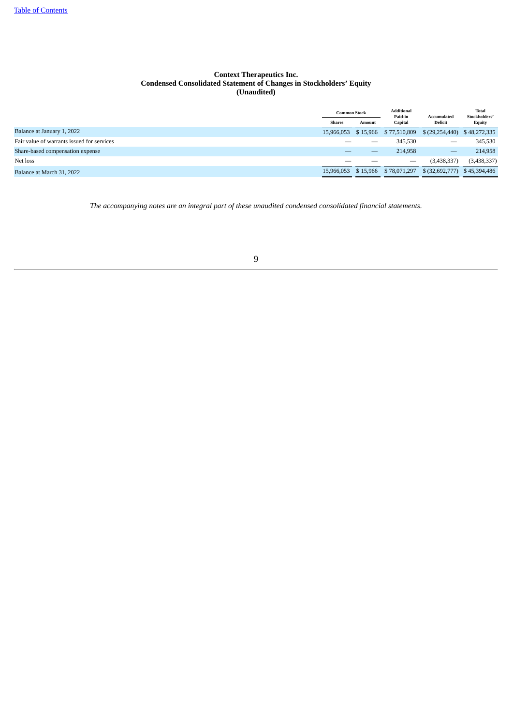#### **Context Therapeutics Inc. Condensed Consolidated Statement of Changes in Stockholders' Equity (Unaudited)**

|                                            | <b>Common Stock</b> |          | <b>Additional</b><br>Paid-in | <b>Accumulated</b>              | <b>Total</b><br>Stockholders' |
|--------------------------------------------|---------------------|----------|------------------------------|---------------------------------|-------------------------------|
|                                            | <b>Shares</b>       | Amount   | Capital                      | Deficit                         | Equity                        |
| Balance at January 1, 2022                 | 15.966.053          |          | \$15,966 \$77,510,809        | \$(29, 254, 440)                | \$48,272,335                  |
| Fair value of warrants issued for services |                     |          | 345,530                      | —                               | 345,530                       |
| Share-based compensation expense           |                     |          | 214,958                      | $\hspace{0.1mm}-\hspace{0.1mm}$ | 214,958                       |
| Net loss                                   |                     |          | $\overline{\phantom{m}}$     | (3,438,337)                     | (3,438,337)                   |
| Balance at March 31, 2022                  | 15.966.053          | \$15,966 | \$78,071,297                 | \$ (32,692,777)                 | \$45,394,486                  |
|                                            |                     |          |                              |                                 |                               |

<span id="page-8-0"></span>*The accompanying notes are an integral part of these unaudited condensed consolidated financial statements.*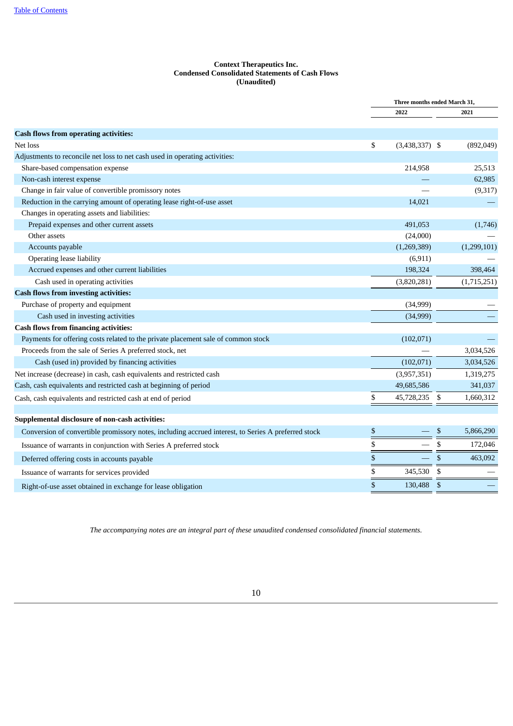## **Context Therapeutics Inc. Condensed Consolidated Statements of Cash Flows (Unaudited)**

|                                                                                                     | Three months ended March 31, |               |             |
|-----------------------------------------------------------------------------------------------------|------------------------------|---------------|-------------|
|                                                                                                     | 2022                         |               | 2021        |
|                                                                                                     |                              |               |             |
| <b>Cash flows from operating activities:</b>                                                        |                              |               |             |
| Net loss                                                                                            | \$<br>$(3,438,337)$ \$       |               | (892, 049)  |
| Adjustments to reconcile net loss to net cash used in operating activities:                         |                              |               |             |
| Share-based compensation expense                                                                    | 214,958                      |               | 25,513      |
| Non-cash interest expense                                                                           |                              |               | 62,985      |
| Change in fair value of convertible promissory notes                                                |                              |               | (9,317)     |
| Reduction in the carrying amount of operating lease right-of-use asset                              | 14,021                       |               |             |
| Changes in operating assets and liabilities:                                                        |                              |               |             |
| Prepaid expenses and other current assets                                                           | 491,053                      |               | (1,746)     |
| Other assets                                                                                        | (24,000)                     |               |             |
| Accounts payable                                                                                    | (1,269,389)                  |               | (1,299,101) |
| Operating lease liability                                                                           | (6, 911)                     |               |             |
| Accrued expenses and other current liabilities                                                      | 198,324                      |               | 398,464     |
| Cash used in operating activities                                                                   | (3,820,281)                  |               | (1,715,251) |
| <b>Cash flows from investing activities:</b>                                                        |                              |               |             |
| Purchase of property and equipment                                                                  | (34,999)                     |               |             |
| Cash used in investing activities                                                                   | (34,999)                     |               |             |
| <b>Cash flows from financing activities:</b>                                                        |                              |               |             |
| Payments for offering costs related to the private placement sale of common stock                   | (102, 071)                   |               |             |
| Proceeds from the sale of Series A preferred stock, net                                             |                              |               | 3,034,526   |
| Cash (used in) provided by financing activities                                                     | (102, 071)                   |               | 3,034,526   |
| Net increase (decrease) in cash, cash equivalents and restricted cash                               | (3,957,351)                  |               | 1,319,275   |
| Cash, cash equivalents and restricted cash at beginning of period                                   | 49,685,586                   |               | 341,037     |
| Cash, cash equivalents and restricted cash at end of period                                         | \$<br>45,728,235             | \$            | 1,660,312   |
| <b>Supplemental disclosure of non-cash activities:</b>                                              |                              |               |             |
| Conversion of convertible promissory notes, including accrued interest, to Series A preferred stock | \$                           | \$            | 5,866,290   |
| Issuance of warrants in conjunction with Series A preferred stock                                   | \$                           | \$            | 172,046     |
| Deferred offering costs in accounts payable                                                         | \$                           | $\mathsf{\$}$ | 463,092     |
| Issuance of warrants for services provided                                                          | \$<br>345,530                | \$            |             |
| Right-of-use asset obtained in exchange for lease obligation                                        | \$<br>130,488                | $\mathcal{S}$ |             |

<span id="page-9-0"></span>*The accompanying notes are an integral part of these unaudited condensed consolidated financial statements.*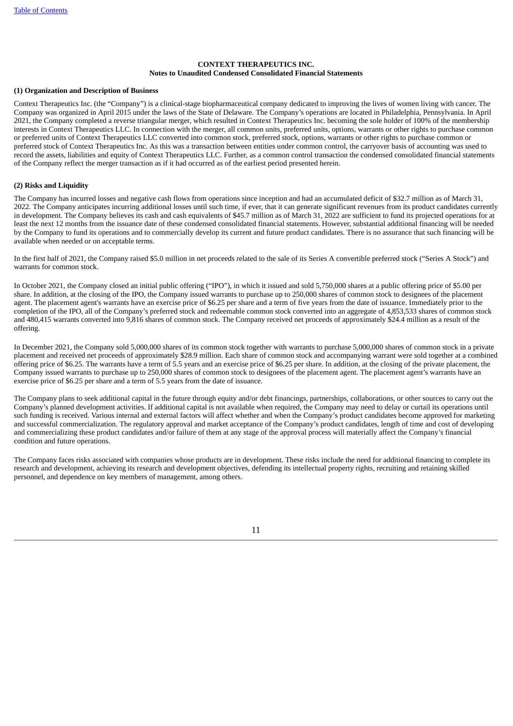# **CONTEXT THERAPEUTICS INC. Notes to Unaudited Condensed Consolidated Financial Statements**

#### **(1) Organization and Description of Business**

Context Therapeutics Inc. (the "Company") is a clinical-stage biopharmaceutical company dedicated to improving the lives of women living with cancer. The Company was organized in April 2015 under the laws of the State of Delaware. The Company's operations are located in Philadelphia, Pennsylvania. In April 2021, the Company completed a reverse triangular merger, which resulted in Context Therapeutics Inc. becoming the sole holder of 100% of the membership interests in Context Therapeutics LLC. In connection with the merger, all common units, preferred units, options, warrants or other rights to purchase common or preferred units of Context Therapeutics LLC converted into common stock, preferred stock, options, warrants or other rights to purchase common or preferred stock of Context Therapeutics Inc. As this was a transaction between entities under common control, the carryover basis of accounting was used to record the assets, liabilities and equity of Context Therapeutics LLC. Further, as a common control transaction the condensed consolidated financial statements of the Company reflect the merger transaction as if it had occurred as of the earliest period presented herein.

## **(2) Risks and Liquidity**

The Company has incurred losses and negative cash flows from operations since inception and had an accumulated deficit of \$32.7 million as of March 31, 2022. The Company anticipates incurring additional losses until such time, if ever, that it can generate significant revenues from its product candidates currently in development. The Company believes its cash and cash equivalents of \$45.7 million as of March 31, 2022 are sufficient to fund its projected operations for at least the next 12 months from the issuance date of these condensed consolidated financial statements. However, substantial additional financing will be needed by the Company to fund its operations and to commercially develop its current and future product candidates. There is no assurance that such financing will be available when needed or on acceptable terms.

In the first half of 2021, the Company raised \$5.0 million in net proceeds related to the sale of its Series A convertible preferred stock ("Series A Stock") and warrants for common stock.

In October 2021, the Company closed an initial public offering ("IPO"), in which it issued and sold 5,750,000 shares at a public offering price of \$5.00 per share. In addition, at the closing of the IPO, the Company issued warrants to purchase up to 250,000 shares of common stock to designees of the placement agent. The placement agent's warrants have an exercise price of \$6.25 per share and a term of five years from the date of issuance. Immediately prior to the completion of the IPO, all of the Company's preferred stock and redeemable common stock converted into an aggregate of 4,853,533 shares of common stock and 480,415 warrants converted into 9,816 shares of common stock. The Company received net proceeds of approximately \$24.4 million as a result of the offering.

In December 2021, the Company sold 5,000,000 shares of its common stock together with warrants to purchase 5,000,000 shares of common stock in a private placement and received net proceeds of approximately \$28.9 million. Each share of common stock and accompanying warrant were sold together at a combined offering price of \$6.25. The warrants have a term of 5.5 years and an exercise price of \$6.25 per share. In addition, at the closing of the private placement, the Company issued warrants to purchase up to 250,000 shares of common stock to designees of the placement agent. The placement agent's warrants have an exercise price of \$6.25 per share and a term of 5.5 years from the date of issuance.

The Company plans to seek additional capital in the future through equity and/or debt financings, partnerships, collaborations, or other sources to carry out the Company's planned development activities. If additional capital is not available when required, the Company may need to delay or curtail its operations until such funding is received. Various internal and external factors will affect whether and when the Company's product candidates become approved for marketing and successful commercialization. The regulatory approval and market acceptance of the Company's product candidates, length of time and cost of developing and commercializing these product candidates and/or failure of them at any stage of the approval process will materially affect the Company's financial condition and future operations.

The Company faces risks associated with companies whose products are in development. These risks include the need for additional financing to complete its research and development, achieving its research and development objectives, defending its intellectual property rights, recruiting and retaining skilled personnel, and dependence on key members of management, among others.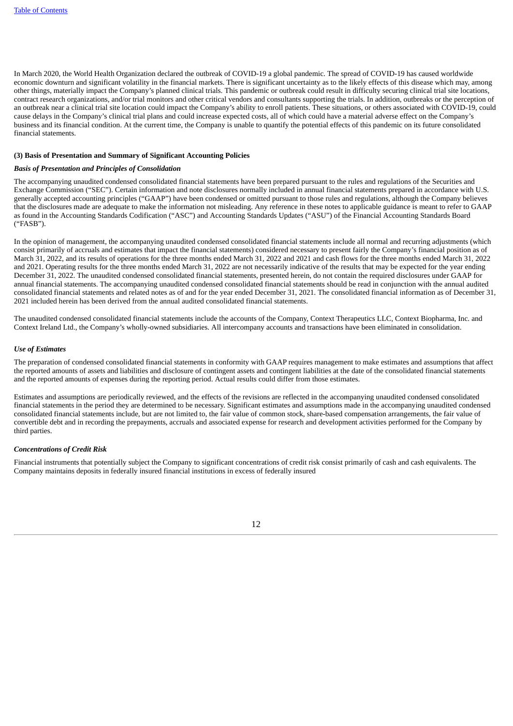In March 2020, the World Health Organization declared the outbreak of COVID-19 a global pandemic. The spread of COVID-19 has caused worldwide economic downturn and significant volatility in the financial markets. There is significant uncertainty as to the likely effects of this disease which may, among other things, materially impact the Company's planned clinical trials. This pandemic or outbreak could result in difficulty securing clinical trial site locations, contract research organizations, and/or trial monitors and other critical vendors and consultants supporting the trials. In addition, outbreaks or the perception of an outbreak near a clinical trial site location could impact the Company's ability to enroll patients. These situations, or others associated with COVID-19, could cause delays in the Company's clinical trial plans and could increase expected costs, all of which could have a material adverse effect on the Company's business and its financial condition. At the current time, the Company is unable to quantify the potential effects of this pandemic on its future consolidated financial statements.

## **(3) Basis of Presentation and Summary of Significant Accounting Policies**

## *Basis of Presentation and Principles of Consolidation*

The accompanying unaudited condensed consolidated financial statements have been prepared pursuant to the rules and regulations of the Securities and Exchange Commission ("SEC"). Certain information and note disclosures normally included in annual financial statements prepared in accordance with U.S. generally accepted accounting principles ("GAAP") have been condensed or omitted pursuant to those rules and regulations, although the Company believes that the disclosures made are adequate to make the information not misleading. Any reference in these notes to applicable guidance is meant to refer to GAAP as found in the Accounting Standards Codification ("ASC") and Accounting Standards Updates ("ASU") of the Financial Accounting Standards Board ("FASB").

In the opinion of management, the accompanying unaudited condensed consolidated financial statements include all normal and recurring adjustments (which consist primarily of accruals and estimates that impact the financial statements) considered necessary to present fairly the Company's financial position as of March 31, 2022, and its results of operations for the three months ended March 31, 2022 and 2021 and cash flows for the three months ended March 31, 2022 and 2021. Operating results for the three months ended March 31, 2022 are not necessarily indicative of the results that may be expected for the year ending December 31, 2022. The unaudited condensed consolidated financial statements, presented herein, do not contain the required disclosures under GAAP for annual financial statements. The accompanying unaudited condensed consolidated financial statements should be read in conjunction with the annual audited consolidated financial statements and related notes as of and for the year ended December 31, 2021. The consolidated financial information as of December 31, 2021 included herein has been derived from the annual audited consolidated financial statements.

The unaudited condensed consolidated financial statements include the accounts of the Company, Context Therapeutics LLC, Context Biopharma, Inc. and Context Ireland Ltd., the Company's wholly-owned subsidiaries. All intercompany accounts and transactions have been eliminated in consolidation.

## *Use of Estimates*

The preparation of condensed consolidated financial statements in conformity with GAAP requires management to make estimates and assumptions that affect the reported amounts of assets and liabilities and disclosure of contingent assets and contingent liabilities at the date of the consolidated financial statements and the reported amounts of expenses during the reporting period. Actual results could differ from those estimates.

Estimates and assumptions are periodically reviewed, and the effects of the revisions are reflected in the accompanying unaudited condensed consolidated financial statements in the period they are determined to be necessary. Significant estimates and assumptions made in the accompanying unaudited condensed consolidated financial statements include, but are not limited to, the fair value of common stock, share-based compensation arrangements, the fair value of convertible debt and in recording the prepayments, accruals and associated expense for research and development activities performed for the Company by third parties.

## *Concentrations of Credit Risk*

Financial instruments that potentially subject the Company to significant concentrations of credit risk consist primarily of cash and cash equivalents. The Company maintains deposits in federally insured financial institutions in excess of federally insured

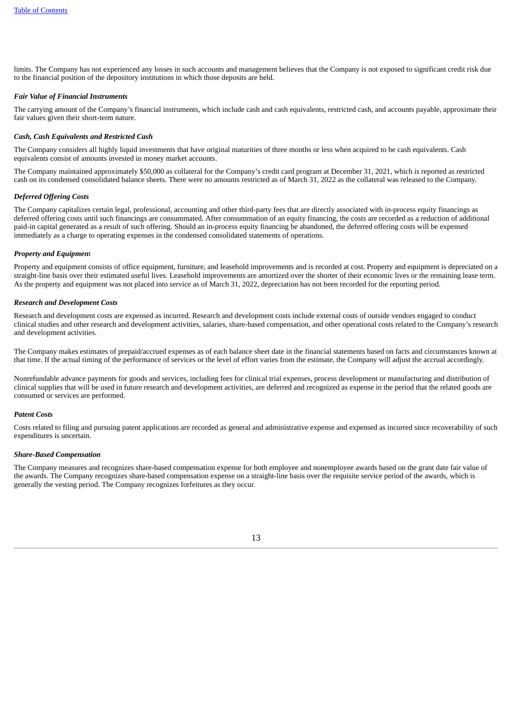limits. The Company has not experienced any losses in such accounts and management believes that the Company is not exposed to significant credit risk due to the financial position of the depository institutions in which those deposits are held.

#### *Fair Value of Financial Instruments*

The carrying amount of the Company's financial instruments, which include cash and cash equivalents, restricted cash, and accounts payable, approximate their fair values given their short-term nature.

#### *Cash, Cash Equivalents and Restricted Cash*

The Company considers all highly liquid investments that have original maturities of three months or less when acquired to be cash equivalents. Cash equivalents consist of amounts invested in money market accounts.

The Company maintained approximately \$50,000 as collateral for the Company's credit card program at December 31, 2021, which is reported as restricted cash on its condensed consolidated balance sheets. There were no amounts restricted as of March 31, 2022 as the collateral was released to the Company.

## *Deferred Offering Costs*

The Company capitalizes certain legal, professional, accounting and other third-party fees that are directly associated with in-process equity financings as deferred offering costs until such financings are consummated. After consummation of an equity financing, the costs are recorded as a reduction of additional paid-in capital generated as a result of such offering. Should an in-process equity financing be abandoned, the deferred offering costs will be expensed immediately as a charge to operating expenses in the condensed consolidated statements of operations.

#### *Property and Equipmen*t

Property and equipment consists of office equipment, furniture, and leasehold improvements and is recorded at cost. Property and equipment is depreciated on a straight-line basis over their estimated useful lives. Leasehold improvements are amortized over the shorter of their economic lives or the remaining lease term. As the property and equipment was not placed into service as of March 31, 2022, depreciation has not been recorded for the reporting period.

## *Research and Development Costs*

Research and development costs are expensed as incurred. Research and development costs include external costs of outside vendors engaged to conduct clinical studies and other research and development activities, salaries, share-based compensation, and other operational costs related to the Company's research and development activities.

The Company makes estimates of prepaid/accrued expenses as of each balance sheet date in the financial statements based on facts and circumstances known at that time. If the actual timing of the performance of services or the level of effort varies from the estimate, the Company will adjust the accrual accordingly.

Nonrefundable advance payments for goods and services, including fees for clinical trial expenses, process development or manufacturing and distribution of clinical supplies that will be used in future research and development activities, are deferred and recognized as expense in the period that the related goods are consumed or services are performed.

## *Patent Costs*

Costs related to filing and pursuing patent applications are recorded as general and administrative expense and expensed as incurred since recoverability of such expenditures is uncertain.

#### *Share-Based Compensation*

The Company measures and recognizes share-based compensation expense for both employee and nonemployee awards based on the grant date fair value of the awards. The Company recognizes share-based compensation expense on a straight-line basis over the requisite service period of the awards, which is generally the vesting period. The Company recognizes forfeitures as they occur.

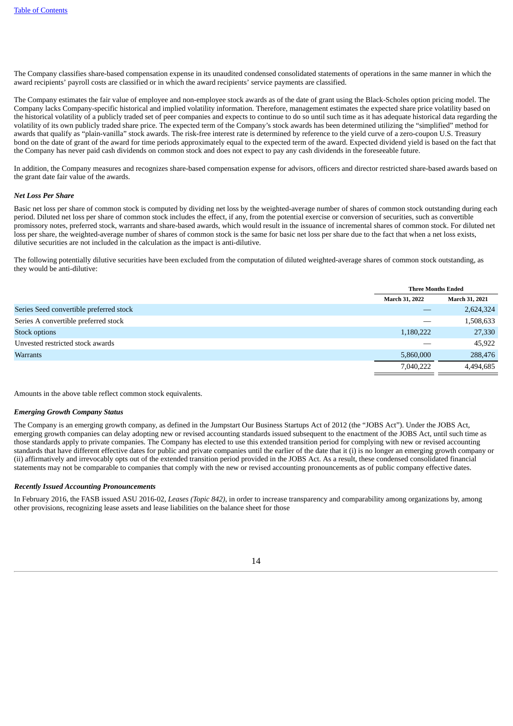The Company classifies share-based compensation expense in its unaudited condensed consolidated statements of operations in the same manner in which the award recipients' payroll costs are classified or in which the award recipients' service payments are classified.

The Company estimates the fair value of employee and non-employee stock awards as of the date of grant using the Black-Scholes option pricing model. The Company lacks Company-specific historical and implied volatility information. Therefore, management estimates the expected share price volatility based on the historical volatility of a publicly traded set of peer companies and expects to continue to do so until such time as it has adequate historical data regarding the volatility of its own publicly traded share price. The expected term of the Company's stock awards has been determined utilizing the "simplified" method for awards that qualify as "plain-vanilla" stock awards. The risk-free interest rate is determined by reference to the yield curve of a zero-coupon U.S. Treasury bond on the date of grant of the award for time periods approximately equal to the expected term of the award. Expected dividend yield is based on the fact that the Company has never paid cash dividends on common stock and does not expect to pay any cash dividends in the foreseeable future.

In addition, the Company measures and recognizes share-based compensation expense for advisors, officers and director restricted share-based awards based on the grant date fair value of the awards.

#### *Net Loss Per Share*

Basic net loss per share of common stock is computed by dividing net loss by the weighted-average number of shares of common stock outstanding during each period. Diluted net loss per share of common stock includes the effect, if any, from the potential exercise or conversion of securities, such as convertible promissory notes, preferred stock, warrants and share-based awards, which would result in the issuance of incremental shares of common stock. For diluted net loss per share, the weighted-average number of shares of common stock is the same for basic net loss per share due to the fact that when a net loss exists, dilutive securities are not included in the calculation as the impact is anti-dilutive.

The following potentially dilutive securities have been excluded from the computation of diluted weighted-average shares of common stock outstanding, as they would be anti-dilutive:

|                                         | <b>Three Months Ended</b> |                |
|-----------------------------------------|---------------------------|----------------|
|                                         | March 31, 2022            | March 31, 2021 |
| Series Seed convertible preferred stock |                           | 2,624,324      |
| Series A convertible preferred stock    |                           | 1,508,633      |
| Stock options                           | 1,180,222                 | 27,330         |
| Unvested restricted stock awards        |                           | 45,922         |
| Warrants                                | 5,860,000                 | 288,476        |
|                                         | 7,040,222                 | 4,494,685      |

Amounts in the above table reflect common stock equivalents.

## *Emerging Growth Company Status*

The Company is an emerging growth company, as defined in the Jumpstart Our Business Startups Act of 2012 (the "JOBS Act"). Under the JOBS Act, emerging growth companies can delay adopting new or revised accounting standards issued subsequent to the enactment of the JOBS Act, until such time as those standards apply to private companies. The Company has elected to use this extended transition period for complying with new or revised accounting standards that have different effective dates for public and private companies until the earlier of the date that it (i) is no longer an emerging growth company or (ii) affirmatively and irrevocably opts out of the extended transition period provided in the JOBS Act. As a result, these condensed consolidated financial statements may not be comparable to companies that comply with the new or revised accounting pronouncements as of public company effective dates.

## *Recently Issued Accounting Pronouncements*

In February 2016, the FASB issued ASU 2016-02, *Leases (Topic 842)*, in order to increase transparency and comparability among organizations by, among other provisions, recognizing lease assets and lease liabilities on the balance sheet for those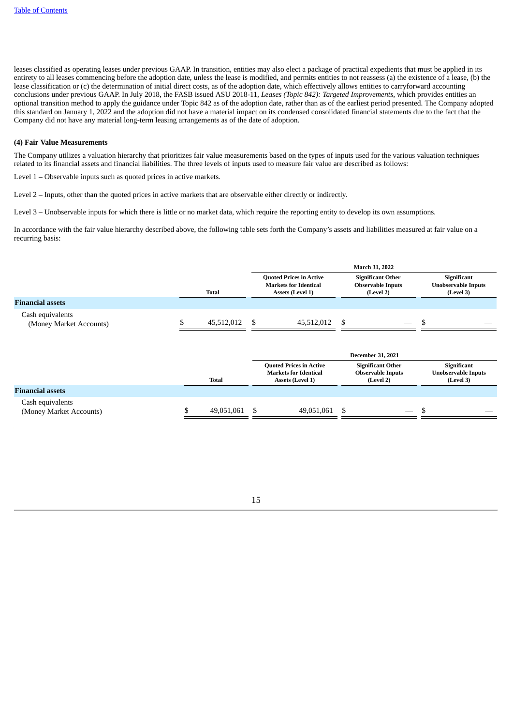leases classified as operating leases under previous GAAP. In transition, entities may also elect a package of practical expedients that must be applied in its entirety to all leases commencing before the adoption date, unless the lease is modified, and permits entities to not reassess (a) the existence of a lease, (b) the lease classification or (c) the determination of initial direct costs, as of the adoption date, which effectively allows entities to carryforward accounting conclusions under previous GAAP. In July 2018, the FASB issued ASU 2018-11, *Leases (Topic 842): Targeted Improvements*, which provides entities an optional transition method to apply the guidance under Topic 842 as of the adoption date, rather than as of the earliest period presented. The Company adopted this standard on January 1, 2022 and the adoption did not have a material impact on its condensed consolidated financial statements due to the fact that the Company did not have any material long-term leasing arrangements as of the date of adoption.

#### **(4) Fair Value Measurements**

The Company utilizes a valuation hierarchy that prioritizes fair value measurements based on the types of inputs used for the various valuation techniques related to its financial assets and financial liabilities. The three levels of inputs used to measure fair value are described as follows:

Level 1 – Observable inputs such as quoted prices in active markets.

Level 2 – Inputs, other than the quoted prices in active markets that are observable either directly or indirectly.

Level 3 – Unobservable inputs for which there is little or no market data, which require the reporting entity to develop its own assumptions.

In accordance with the fair value hierarchy described above, the following table sets forth the Company's assets and liabilities measured at fair value on a recurring basis:

|              | <b>March 31, 2022</b>   |                                                                |                   |                                                        |  |  |  |  |
|--------------|-------------------------|----------------------------------------------------------------|-------------------|--------------------------------------------------------|--|--|--|--|
| <b>Total</b> | <b>Assets (Level 1)</b> |                                                                | (Level 2)         | Significant<br><b>Unobservable Inputs</b><br>(Level 3) |  |  |  |  |
|              |                         |                                                                |                   |                                                        |  |  |  |  |
| 45,512,012   | 45,512,012              |                                                                | $\hspace{0.05cm}$ |                                                        |  |  |  |  |
|              |                         | <b>Quoted Prices in Active</b><br><b>Markets for Identical</b> |                   | <b>Significant Other</b><br><b>Observable Inputs</b>   |  |  |  |  |

|                                             |       |            | <b>December 31, 2021</b>                                                           |            |                                                                   |                 |  |                                                        |  |  |  |  |
|---------------------------------------------|-------|------------|------------------------------------------------------------------------------------|------------|-------------------------------------------------------------------|-----------------|--|--------------------------------------------------------|--|--|--|--|
|                                             | Total |            | <b>Quoted Prices in Active</b><br><b>Markets for Identical</b><br>Assets (Level 1) |            | <b>Significant Other</b><br><b>Observable Inputs</b><br>(Level 2) |                 |  | Significant<br><b>Unobservable Inputs</b><br>(Level 3) |  |  |  |  |
| <b>Financial assets</b>                     |       |            |                                                                                    |            |                                                                   |                 |  |                                                        |  |  |  |  |
| Cash equivalents<br>(Money Market Accounts) |       | 49,051,061 |                                                                                    | 49,051,061 |                                                                   | $\qquad \qquad$ |  |                                                        |  |  |  |  |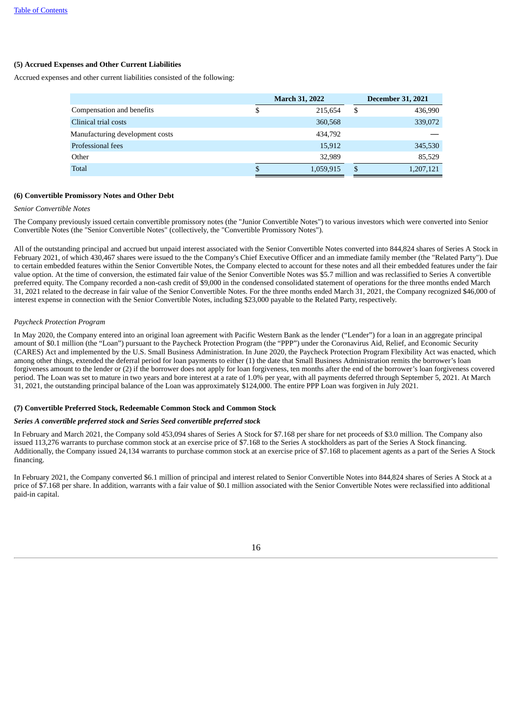## **(5) Accrued Expenses and Other Current Liabilities**

Accrued expenses and other current liabilities consisted of the following:

|                                 | <b>March 31, 2022</b> | <b>December 31, 2021</b> |
|---------------------------------|-----------------------|--------------------------|
| Compensation and benefits       | 215,654               | \$<br>436,990            |
| Clinical trial costs            | 360,568               | 339,072                  |
| Manufacturing development costs | 434.792               |                          |
| Professional fees               | 15,912                | 345,530                  |
| Other                           | 32,989                | 85,529                   |
| <b>Total</b>                    | \$<br>1,059,915       | \$<br>1,207,121          |

#### **(6) Convertible Promissory Notes and Other Debt**

#### *Senior Convertible Notes*

The Company previously issued certain convertible promissory notes (the "Junior Convertible Notes") to various investors which were converted into Senior Convertible Notes (the "Senior Convertible Notes" (collectively, the "Convertible Promissory Notes").

All of the outstanding principal and accrued but unpaid interest associated with the Senior Convertible Notes converted into 844,824 shares of Series A Stock in February 2021, of which 430,467 shares were issued to the the Company's Chief Executive Officer and an immediate family member (the "Related Party"). Due to certain embedded features within the Senior Convertible Notes, the Company elected to account for these notes and all their embedded features under the fair value option. At the time of conversion, the estimated fair value of the Senior Convertible Notes was \$5.7 million and was reclassified to Series A convertible preferred equity. The Company recorded a non-cash credit of \$9,000 in the condensed consolidated statement of operations for the three months ended March 31, 2021 related to the decrease in fair value of the Senior Convertible Notes. For the three months ended March 31, 2021, the Company recognized \$46,000 of interest expense in connection with the Senior Convertible Notes, including \$23,000 payable to the Related Party, respectively.

#### *Paycheck Protection Program*

In May 2020, the Company entered into an original loan agreement with Pacific Western Bank as the lender ("Lender") for a loan in an aggregate principal amount of \$0.1 million (the "Loan") pursuant to the Paycheck Protection Program (the "PPP") under the Coronavirus Aid, Relief, and Economic Security (CARES) Act and implemented by the U.S. Small Business Administration. In June 2020, the Paycheck Protection Program Flexibility Act was enacted, which among other things, extended the deferral period for loan payments to either (1) the date that Small Business Administration remits the borrower's loan forgiveness amount to the lender or (2) if the borrower does not apply for loan forgiveness, ten months after the end of the borrower's loan forgiveness covered period. The Loan was set to mature in two years and bore interest at a rate of 1.0% per year, with all payments deferred through September 5, 2021. At March 31, 2021, the outstanding principal balance of the Loan was approximately \$124,000. The entire PPP Loan was forgiven in July 2021.

## **(7) Convertible Preferred Stock, Redeemable Common Stock and Common Stock**

## *Series A convertible preferred stock and Series Seed convertible preferred stock*

In February and March 2021, the Company sold 453,094 shares of Series A Stock for \$7.168 per share for net proceeds of \$3.0 million. The Company also issued 113,276 warrants to purchase common stock at an exercise price of \$7.168 to the Series A stockholders as part of the Series A Stock financing. Additionally, the Company issued 24,134 warrants to purchase common stock at an exercise price of \$7.168 to placement agents as a part of the Series A Stock financing.

In February 2021, the Company converted \$6.1 million of principal and interest related to Senior Convertible Notes into 844,824 shares of Series A Stock at a price of \$7.168 per share. In addition, warrants with a fair value of \$0.1 million associated with the Senior Convertible Notes were reclassified into additional paid-in capital.

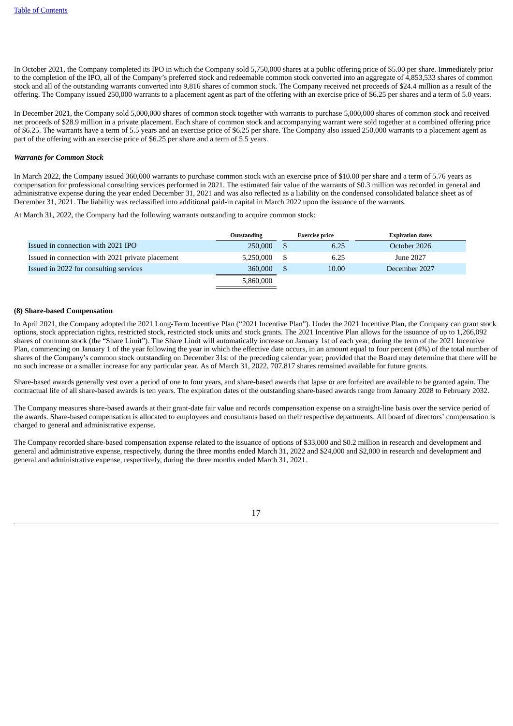In October 2021, the Company completed its IPO in which the Company sold 5,750,000 shares at a public offering price of \$5.00 per share. Immediately prior to the completion of the IPO, all of the Company's preferred stock and redeemable common stock converted into an aggregate of 4,853,533 shares of common stock and all of the outstanding warrants converted into 9,816 shares of common stock. The Company received net proceeds of \$24.4 million as a result of the offering. The Company issued 250,000 warrants to a placement agent as part of the offering with an exercise price of \$6.25 per shares and a term of 5.0 years.

In December 2021, the Company sold 5,000,000 shares of common stock together with warrants to purchase 5,000,000 shares of common stock and received net proceeds of \$28.9 million in a private placement. Each share of common stock and accompanying warrant were sold together at a combined offering price of \$6.25. The warrants have a term of 5.5 years and an exercise price of \$6.25 per share. The Company also issued 250,000 warrants to a placement agent as part of the offering with an exercise price of \$6.25 per share and a term of 5.5 years.

## *Warrants for Common Stock*

In March 2022, the Company issued 360,000 warrants to purchase common stock with an exercise price of \$10.00 per share and a term of 5.76 years as compensation for professional consulting services performed in 2021. The estimated fair value of the warrants of \$0.3 million was recorded in general and administrative expense during the year ended December 31, 2021 and was also reflected as a liability on the condensed consolidated balance sheet as of December 31, 2021. The liability was reclassified into additional paid-in capital in March 2022 upon the issuance of the warrants.

At March 31, 2022, the Company had the following warrants outstanding to acquire common stock:

|                                                  | Outstanding | <b>Exercise price</b> | <b>Expiration dates</b> |  |
|--------------------------------------------------|-------------|-----------------------|-------------------------|--|
| Issued in connection with 2021 IPO               | 250,000     | 6.25                  | October 2026            |  |
| Issued in connection with 2021 private placement | 5,250,000   | 6.25                  | June 2027               |  |
| Issued in 2022 for consulting services           | 360,000     | 10.00                 | December 2027           |  |
|                                                  | 5,860,000   |                       |                         |  |

## **(8) Share-based Compensation**

In April 2021, the Company adopted the 2021 Long-Term Incentive Plan ("2021 Incentive Plan"). Under the 2021 Incentive Plan, the Company can grant stock options, stock appreciation rights, restricted stock, restricted stock units and stock grants. The 2021 Incentive Plan allows for the issuance of up to 1,266,092 shares of common stock (the "Share Limit"). The Share Limit will automatically increase on January 1st of each year, during the term of the 2021 Incentive Plan, commencing on January 1 of the year following the year in which the effective date occurs, in an amount equal to four percent (4%) of the total number of shares of the Company's common stock outstanding on December 31st of the preceding calendar year; provided that the Board may determine that there will be no such increase or a smaller increase for any particular year. As of March 31, 2022, 707,817 shares remained available for future grants.

Share-based awards generally vest over a period of one to four years, and share-based awards that lapse or are forfeited are available to be granted again. The contractual life of all share-based awards is ten years. The expiration dates of the outstanding share-based awards range from January 2028 to February 2032.

The Company measures share-based awards at their grant-date fair value and records compensation expense on a straight-line basis over the service period of the awards. Share-based compensation is allocated to employees and consultants based on their respective departments. All board of directors' compensation is charged to general and administrative expense.

The Company recorded share-based compensation expense related to the issuance of options of \$33,000 and \$0.2 million in research and development and general and administrative expense, respectively, during the three months ended March 31, 2022 and \$24,000 and \$2,000 in research and development and general and administrative expense, respectively, during the three months ended March 31, 2021.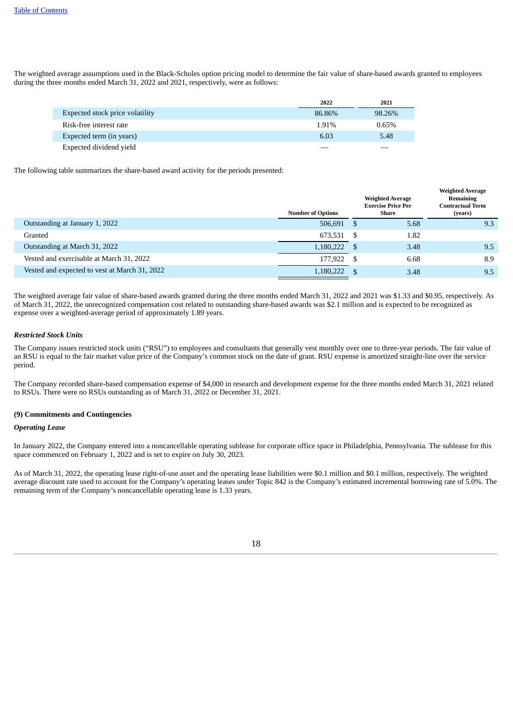The weighted average assumptions used in the Black-Scholes option pricing model to determine the fair value of share-based awards granted to employees during the three months ended March 31, 2022 and 2021, respectively, were as follows:

|                                 | 2022   | 2021   |
|---------------------------------|--------|--------|
| Expected stock price volatility | 86.86% | 98.26% |
| Risk-free interest rate         | 1.91%  | 0.65%  |
| Expected term (in years)        | 6.03   | 5.48   |
| Expected dividend yield         |        |        |

The following table summarizes the share-based award activity for the periods presented:

|                                               | <b>Number of Options</b> | <b>Weighted Average</b><br><b>Exercise Price Per</b><br>Share | <b>Weighted Average</b><br>Remaining<br><b>Contractual Term</b><br>(vears) |
|-----------------------------------------------|--------------------------|---------------------------------------------------------------|----------------------------------------------------------------------------|
| Outstanding at January 1, 2022                | 506,691 \$               | 5.68                                                          | 9.3                                                                        |
| Granted                                       | 673,531 \$               | 1.82                                                          |                                                                            |
| Outstanding at March 31, 2022                 | $1,180,222$ \$           | 3.48                                                          | 9.5                                                                        |
| Vested and exercisable at March 31, 2022      | 177,922 \$               | 6.68                                                          | 8.9                                                                        |
| Vested and expected to vest at March 31, 2022 | 1,180,222                | 3.48                                                          | 9.5                                                                        |

The weighted average fair value of share-based awards granted during the three months ended March 31, 2022 and 2021 was \$1.33 and \$0.95, respectively. As of March 31, 2022, the unrecognized compensation cost related to outstanding share-based awards was \$2.1 million and is expected to be recognized as expense over a weighted-average period of approximately 1.89 years.

## *Restricted Stock Units*

The Company issues restricted stock units ("RSU") to employees and consultants that generally vest monthly over one to three-year periods. The fair value of an RSU is equal to the fair market value price of the Company's common stock on the date of grant. RSU expense is amortized straight-line over the service period.

The Company recorded share-based compensation expense of \$4,000 in research and development expense for the three months ended March 31, 2021 related to RSUs. There were no RSUs outstanding as of March 31, 2022 or December 31, 2021.

## **(9) Commitments and Contingencies**

#### *Operating Lease*

In January 2022, the Company entered into a noncancellable operating sublease for corporate office space in Philadelphia, Pennsylvania. The sublease for this space commenced on February 1, 2022 and is set to expire on July 30, 2023.

As of March 31, 2022, the operating lease right-of-use asset and the operating lease liabilities were \$0.1 million and \$0.1 million, respectively. The weighted average discount rate used to account for the Company's operating leases under Topic 842 is the Company's estimated incremental borrowing rate of 5.0%. The remaining term of the Company's noncancellable operating lease is 1.33 years.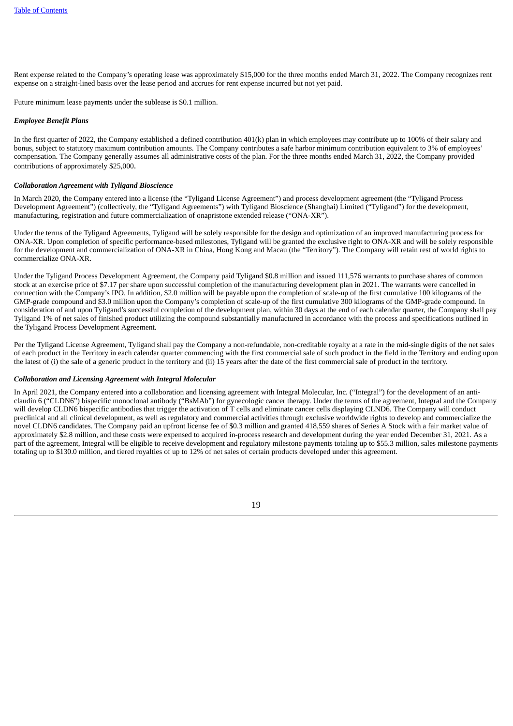Rent expense related to the Company's operating lease was approximately \$15,000 for the three months ended March 31, 2022. The Company recognizes rent expense on a straight-lined basis over the lease period and accrues for rent expense incurred but not yet paid.

Future minimum lease payments under the sublease is \$0.1 million.

## *Employee Benefit Plans*

In the first quarter of 2022, the Company established a defined contribution 401(k) plan in which employees may contribute up to 100% of their salary and bonus, subject to statutory maximum contribution amounts. The Company contributes a safe harbor minimum contribution equivalent to 3% of employees' compensation. The Company generally assumes all administrative costs of the plan. For the three months ended March 31, 2022, the Company provided contributions of approximately \$25,000.

#### *Collaboration Agreement with Tyligand Bioscience*

In March 2020, the Company entered into a license (the "Tyligand License Agreement") and process development agreement (the "Tyligand Process Development Agreement") (collectively, the "Tyligand Agreements") with Tyligand Bioscience (Shanghai) Limited ("Tyligand") for the development, manufacturing, registration and future commercialization of onapristone extended release ("ONA-XR").

Under the terms of the Tyligand Agreements, Tyligand will be solely responsible for the design and optimization of an improved manufacturing process for ONA-XR. Upon completion of specific performance-based milestones, Tyligand will be granted the exclusive right to ONA-XR and will be solely responsible for the development and commercialization of ONA-XR in China, Hong Kong and Macau (the "Territory"). The Company will retain rest of world rights to commercialize ONA-XR.

Under the Tyligand Process Development Agreement, the Company paid Tyligand \$0.8 million and issued 111,576 warrants to purchase shares of common stock at an exercise price of \$7.17 per share upon successful completion of the manufacturing development plan in 2021. The warrants were cancelled in connection with the Company's IPO. In addition, \$2.0 million will be payable upon the completion of scale-up of the first cumulative 100 kilograms of the GMP-grade compound and \$3.0 million upon the Company's completion of scale-up of the first cumulative 300 kilograms of the GMP-grade compound. In consideration of and upon Tyligand's successful completion of the development plan, within 30 days at the end of each calendar quarter, the Company shall pay Tyligand 1% of net sales of finished product utilizing the compound substantially manufactured in accordance with the process and specifications outlined in the Tyligand Process Development Agreement.

Per the Tyligand License Agreement, Tyligand shall pay the Company a non-refundable, non-creditable royalty at a rate in the mid-single digits of the net sales of each product in the Territory in each calendar quarter commencing with the first commercial sale of such product in the field in the Territory and ending upon the latest of (i) the sale of a generic product in the territory and (ii) 15 years after the date of the first commercial sale of product in the territory.

#### *Collaboration and Licensing Agreement with Integral Molecular*

<span id="page-18-0"></span>In April 2021, the Company entered into a collaboration and licensing agreement with Integral Molecular, Inc. ("Integral") for the development of an anticlaudin 6 ("CLDN6") bispecific monoclonal antibody ("BsMAb") for gynecologic cancer therapy. Under the terms of the agreement, Integral and the Company will develop CLDN6 bispecific antibodies that trigger the activation of T cells and eliminate cancer cells displaying CLND6. The Company will conduct preclinical and all clinical development, as well as regulatory and commercial activities through exclusive worldwide rights to develop and commercialize the novel CLDN6 candidates. The Company paid an upfront license fee of \$0.3 million and granted 418,559 shares of Series A Stock with a fair market value of approximately \$2.8 million, and these costs were expensed to acquired in-process research and development during the year ended December 31, 2021. As a part of the agreement, Integral will be eligible to receive development and regulatory milestone payments totaling up to \$55.3 million, sales milestone payments totaling up to \$130.0 million, and tiered royalties of up to 12% of net sales of certain products developed under this agreement.

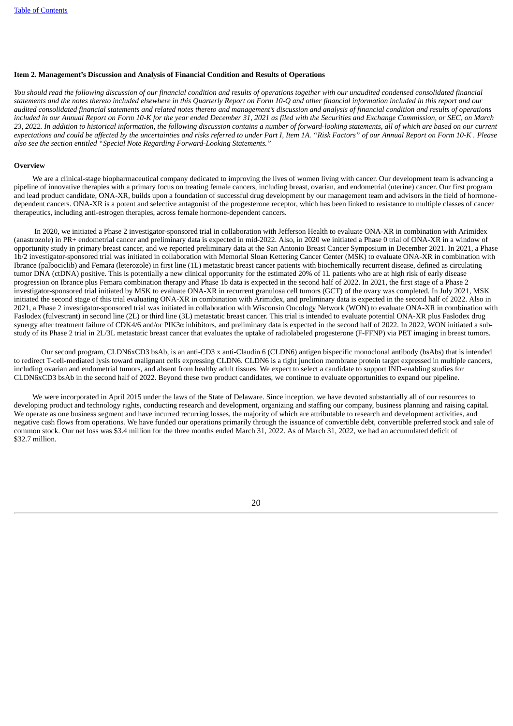### **Item 2. Management's Discussion and Analysis of Financial Condition and Results of Operations**

You should read the following discussion of our financial condition and results of operations together with our unaudited condensed consolidated financial statements and the notes thereto included elsewhere in this Quarterly Report on Form 10-Q and other financial information included in this report and our audited consolidated financial statements and related notes thereto and management's discussion and analysis of financial condition and results of operations included in our Annual Report on Form 10-K for the year ended December 31, 2021 as filed with the Securities and Exchange Commission, or SEC, on March 23, 2022. In addition to historical information, the following discussion contains a number of forward-looking statements, all of which are based on our current expectations and could be affected by the uncertainties and risks referred to under Part I, Item 1A. "Risk Factors" of our Annual Report on Form 10-K. Please *also see the section entitled "Special Note Regarding Forward-Looking Statements."*

## **Overview**

We are a clinical-stage biopharmaceutical company dedicated to improving the lives of women living with cancer. Our development team is advancing a pipeline of innovative therapies with a primary focus on treating female cancers, including breast, ovarian, and endometrial (uterine) cancer. Our first program and lead product candidate, ONA-XR, builds upon a foundation of successful drug development by our management team and advisors in the field of hormonedependent cancers. ONA-XR is a potent and selective antagonist of the progesterone receptor, which has been linked to resistance to multiple classes of cancer therapeutics, including anti-estrogen therapies, across female hormone-dependent cancers.

In 2020, we initiated a Phase 2 investigator-sponsored trial in collaboration with Jefferson Health to evaluate ONA-XR in combination with Arimidex (anastrozole) in PR+ endometrial cancer and preliminary data is expected in mid-2022. Also, in 2020 we initiated a Phase 0 trial of ONA-XR in a window of opportunity study in primary breast cancer, and we reported preliminary data at the San Antonio Breast Cancer Symposium in December 2021. In 2021, a Phase 1b/2 investigator-sponsored trial was initiated in collaboration with Memorial Sloan Kettering Cancer Center (MSK) to evaluate ONA-XR in combination with Ibrance (palbociclib) and Femara (leterozole) in first line (1L) metastatic breast cancer patients with biochemically recurrent disease, defined as circulating tumor DNA (ctDNA) positive. This is potentially a new clinical opportunity for the estimated 20% of 1L patients who are at high risk of early disease progression on Ibrance plus Femara combination therapy and Phase 1b data is expected in the second half of 2022. In 2021, the first stage of a Phase 2 investigator-sponsored trial initiated by MSK to evaluate ONA-XR in recurrent granulosa cell tumors (GCT) of the ovary was completed. In July 2021, MSK initiated the second stage of this trial evaluating ONA-XR in combination with Arimidex, and preliminary data is expected in the second half of 2022. Also in 2021, a Phase 2 investigator-sponsored trial was initiated in collaboration with Wisconsin Oncology Network (WON) to evaluate ONA-XR in combination with Faslodex (fulvestrant) in second line (2L) or third line (3L) metastatic breast cancer. This trial is intended to evaluate potential ONA-XR plus Faslodex drug synergy after treatment failure of CDK4/6 and/or PIK3α inhibitors, and preliminary data is expected in the second half of 2022. In 2022, WON initiated a substudy of its Phase 2 trial in 2L/3L metastatic breast cancer that evaluates the uptake of radiolabeled progesterone (F-FFNP) via PET imaging in breast tumors.

Our second program, CLDN6xCD3 bsAb, is an anti-CD3 x anti-Claudin 6 (CLDN6) antigen bispecific monoclonal antibody (bsAbs) that is intended to redirect T-cell-mediated lysis toward malignant cells expressing CLDN6. CLDN6 is a tight junction membrane protein target expressed in multiple cancers, including ovarian and endometrial tumors, and absent from healthy adult tissues. We expect to select a candidate to support IND-enabling studies for CLDN6xCD3 bsAb in the second half of 2022. Beyond these two product candidates, we continue to evaluate opportunities to expand our pipeline.

We were incorporated in April 2015 under the laws of the State of Delaware. Since inception, we have devoted substantially all of our resources to developing product and technology rights, conducting research and development, organizing and staffing our company, business planning and raising capital. We operate as one business segment and have incurred recurring losses, the majority of which are attributable to research and development activities, and negative cash flows from operations. We have funded our operations primarily through the issuance of convertible debt, convertible preferred stock and sale of common stock. Our net loss was \$3.4 million for the three months ended March 31, 2022. As of March 31, 2022, we had an accumulated deficit of \$32.7 million.

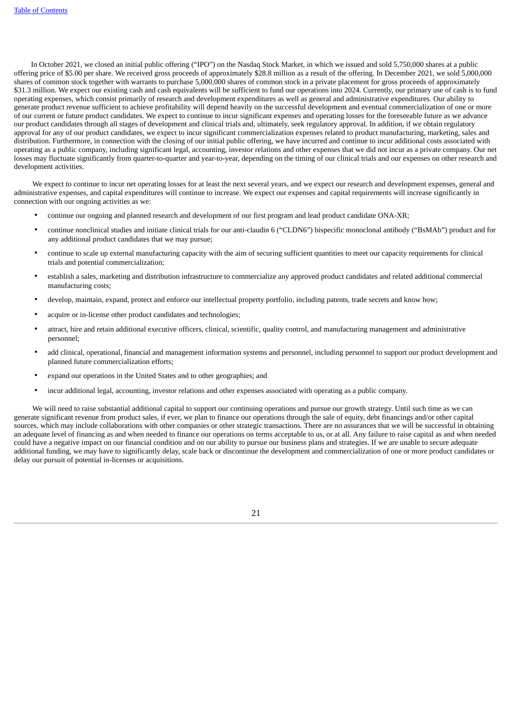In October 2021, we closed an initial public offering ("IPO") on the Nasdaq Stock Market, in which we issued and sold 5,750,000 shares at a public offering price of \$5.00 per share. We received gross proceeds of approximately \$28.8 million as a result of the offering. In December 2021, we sold 5,000,000 shares of common stock together with warrants to purchase 5,000,000 shares of common stock in a private placement for gross proceeds of approximately \$31.3 million. We expect our existing cash and cash equivalents will be sufficient to fund our operations into 2024. Currently, our primary use of cash is to fund operating expenses, which consist primarily of research and development expenditures as well as general and administrative expenditures. Our ability to generate product revenue sufficient to achieve profitability will depend heavily on the successful development and eventual commercialization of one or more of our current or future product candidates. We expect to continue to incur significant expenses and operating losses for the foreseeable future as we advance our product candidates through all stages of development and clinical trials and, ultimately, seek regulatory approval. In addition, if we obtain regulatory approval for any of our product candidates, we expect to incur significant commercialization expenses related to product manufacturing, marketing, sales and distribution. Furthermore, in connection with the closing of our initial public offering, we have incurred and continue to incur additional costs associated with operating as a public company, including significant legal, accounting, investor relations and other expenses that we did not incur as a private company. Our net losses may fluctuate significantly from quarter-to-quarter and year-to-year, depending on the timing of our clinical trials and our expenses on other research and development activities.

We expect to continue to incur net operating losses for at least the next several years, and we expect our research and development expenses, general and administrative expenses, and capital expenditures will continue to increase. We expect our expenses and capital requirements will increase significantly in connection with our ongoing activities as we:

- continue our ongoing and planned research and development of our first program and lead product candidate ONA-XR;
- continue nonclinical studies and initiate clinical trials for our anti-claudin 6 ("CLDN6") bispecific monoclonal antibody ("BsMAb") product and for any additional product candidates that we may pursue;
- continue to scale up external manufacturing capacity with the aim of securing sufficient quantities to meet our capacity requirements for clinical trials and potential commercialization;
- establish a sales, marketing and distribution infrastructure to commercialize any approved product candidates and related additional commercial manufacturing costs;
- develop, maintain, expand, protect and enforce our intellectual property portfolio, including patents, trade secrets and know how;
- acquire or in-license other product candidates and technologies;
- attract, hire and retain additional executive officers, clinical, scientific, quality control, and manufacturing management and administrative personnel;
- add clinical, operational, financial and management information systems and personnel, including personnel to support our product development and planned future commercialization efforts;
- expand our operations in the United States and to other geographies; and
- incur additional legal, accounting, investor relations and other expenses associated with operating as a public company.

We will need to raise substantial additional capital to support our continuing operations and pursue our growth strategy. Until such time as we can generate significant revenue from product sales, if ever, we plan to finance our operations through the sale of equity, debt financings and/or other capital sources, which may include collaborations with other companies or other strategic transactions. There are no assurances that we will be successful in obtaining an adequate level of financing as and when needed to finance our operations on terms acceptable to us, or at all. Any failure to raise capital as and when needed could have a negative impact on our financial condition and on our ability to pursue our business plans and strategies. If we are unable to secure adequate additional funding, we may have to significantly delay, scale back or discontinue the development and commercialization of one or more product candidates or delay our pursuit of potential in-licenses or acquisitions.

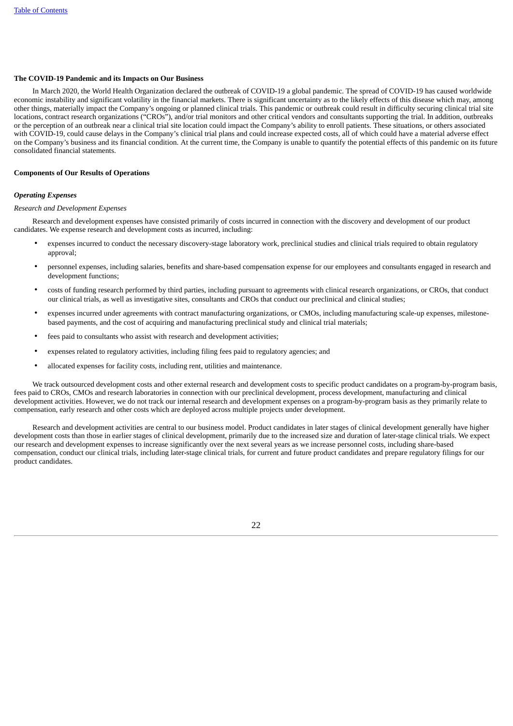#### **The COVID-19 Pandemic and its Impacts on Our Business**

In March 2020, the World Health Organization declared the outbreak of COVID-19 a global pandemic. The spread of COVID-19 has caused worldwide economic instability and significant volatility in the financial markets. There is significant uncertainty as to the likely effects of this disease which may, among other things, materially impact the Company's ongoing or planned clinical trials. This pandemic or outbreak could result in difficulty securing clinical trial site locations, contract research organizations ("CROs"), and/or trial monitors and other critical vendors and consultants supporting the trial. In addition, outbreaks or the perception of an outbreak near a clinical trial site location could impact the Company's ability to enroll patients. These situations, or others associated with COVID-19, could cause delays in the Company's clinical trial plans and could increase expected costs, all of which could have a material adverse effect on the Company's business and its financial condition. At the current time, the Company is unable to quantify the potential effects of this pandemic on its future consolidated financial statements.

#### **Components of Our Results of Operations**

## *Operating Expenses*

#### *Research and Development Expenses*

Research and development expenses have consisted primarily of costs incurred in connection with the discovery and development of our product candidates. We expense research and development costs as incurred, including:

- expenses incurred to conduct the necessary discovery-stage laboratory work, preclinical studies and clinical trials required to obtain regulatory approval;
- personnel expenses, including salaries, benefits and share-based compensation expense for our employees and consultants engaged in research and development functions;
- costs of funding research performed by third parties, including pursuant to agreements with clinical research organizations, or CROs, that conduct our clinical trials, as well as investigative sites, consultants and CROs that conduct our preclinical and clinical studies;
- expenses incurred under agreements with contract manufacturing organizations, or CMOs, including manufacturing scale-up expenses, milestonebased payments, and the cost of acquiring and manufacturing preclinical study and clinical trial materials;
- fees paid to consultants who assist with research and development activities;
- expenses related to regulatory activities, including filing fees paid to regulatory agencies; and
- allocated expenses for facility costs, including rent, utilities and maintenance.

We track outsourced development costs and other external research and development costs to specific product candidates on a program-by-program basis, fees paid to CROs, CMOs and research laboratories in connection with our preclinical development, process development, manufacturing and clinical development activities. However, we do not track our internal research and development expenses on a program-by-program basis as they primarily relate to compensation, early research and other costs which are deployed across multiple projects under development.

Research and development activities are central to our business model. Product candidates in later stages of clinical development generally have higher development costs than those in earlier stages of clinical development, primarily due to the increased size and duration of later-stage clinical trials. We expect our research and development expenses to increase significantly over the next several years as we increase personnel costs, including share-based compensation, conduct our clinical trials, including later-stage clinical trials, for current and future product candidates and prepare regulatory filings for our product candidates.

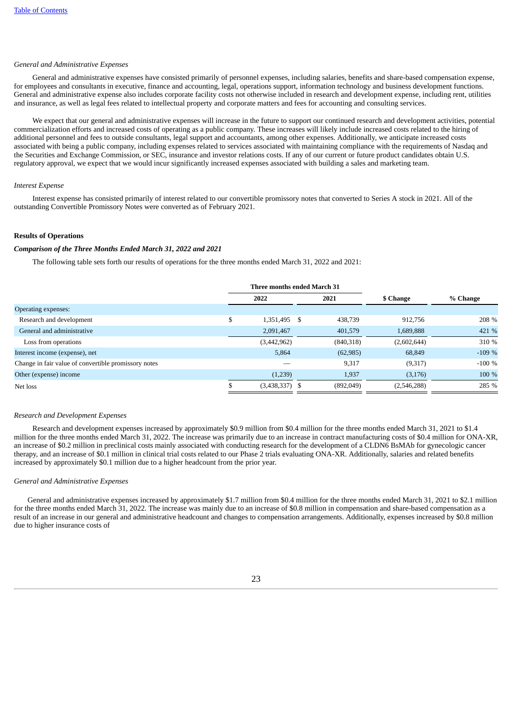#### *General and Administrative Expenses*

General and administrative expenses have consisted primarily of personnel expenses, including salaries, benefits and share-based compensation expense, for employees and consultants in executive, finance and accounting, legal, operations support, information technology and business development functions. General and administrative expense also includes corporate facility costs not otherwise included in research and development expense, including rent, utilities and insurance, as well as legal fees related to intellectual property and corporate matters and fees for accounting and consulting services.

We expect that our general and administrative expenses will increase in the future to support our continued research and development activities, potential commercialization efforts and increased costs of operating as a public company. These increases will likely include increased costs related to the hiring of additional personnel and fees to outside consultants, legal support and accountants, among other expenses. Additionally, we anticipate increased costs associated with being a public company, including expenses related to services associated with maintaining compliance with the requirements of Nasdaq and the Securities and Exchange Commission, or SEC, insurance and investor relations costs. If any of our current or future product candidates obtain U.S. regulatory approval, we expect that we would incur significantly increased expenses associated with building a sales and marketing team.

#### *Interest Expense*

Interest expense has consisted primarily of interest related to our convertible promissory notes that converted to Series A stock in 2021. All of the outstanding Convertible Promissory Notes were converted as of February 2021.

#### **Results of Operations**

## *Comparison of the Three Months Ended March 31, 2022 and 2021*

The following table sets forth our results of operations for the three months ended March 31, 2022 and 2021:

|                                                      | Three months ended March 31 |                  |  |           |             |           |  |
|------------------------------------------------------|-----------------------------|------------------|--|-----------|-------------|-----------|--|
|                                                      |                             | 2022             |  | 2021      | \$ Change   | % Change  |  |
| Operating expenses:                                  |                             |                  |  |           |             |           |  |
| Research and development                             | \$                          | 1,351,495 \$     |  | 438.739   | 912.756     | 208 %     |  |
| General and administrative                           |                             | 2,091,467        |  | 401,579   | 1,689,888   | 421 %     |  |
| Loss from operations                                 |                             | (3,442,962)      |  | (840,318) | (2,602,644) | 310 %     |  |
| Interest income (expense), net                       |                             | 5,864            |  | (62, 985) | 68,849      | $-109%$   |  |
| Change in fair value of convertible promissory notes |                             |                  |  | 9,317     | (9,317)     | $-100 \%$ |  |
| Other (expense) income                               |                             | (1,239)          |  | 1,937     | (3,176)     | 100 %     |  |
| Net loss                                             |                             | $(3,438,337)$ \$ |  | (892,049) | (2,546,288) | 285 %     |  |

#### *Research and Development Expenses*

Research and development expenses increased by approximately \$0.9 million from \$0.4 million for the three months ended March 31, 2021 to \$1.4 million for the three months ended March 31, 2022. The increase was primarily due to an increase in contract manufacturing costs of \$0.4 million for ONA-XR, an increase of \$0.2 million in preclinical costs mainly associated with conducting research for the development of a CLDN6 BsMAb for gynecologic cancer therapy, and an increase of \$0.1 million in clinical trial costs related to our Phase 2 trials evaluating ONA-XR. Additionally, salaries and related benefits increased by approximately \$0.1 million due to a higher headcount from the prior year.

#### *General and Administrative Expenses*

General and administrative expenses increased by approximately \$1.7 million from \$0.4 million for the three months ended March 31, 2021 to \$2.1 million for the three months ended March 31, 2022. The increase was mainly due to an increase of \$0.8 million in compensation and share-based compensation as a result of an increase in our general and administrative headcount and changes to compensation arrangements. Additionally, expenses increased by \$0.8 million due to higher insurance costs of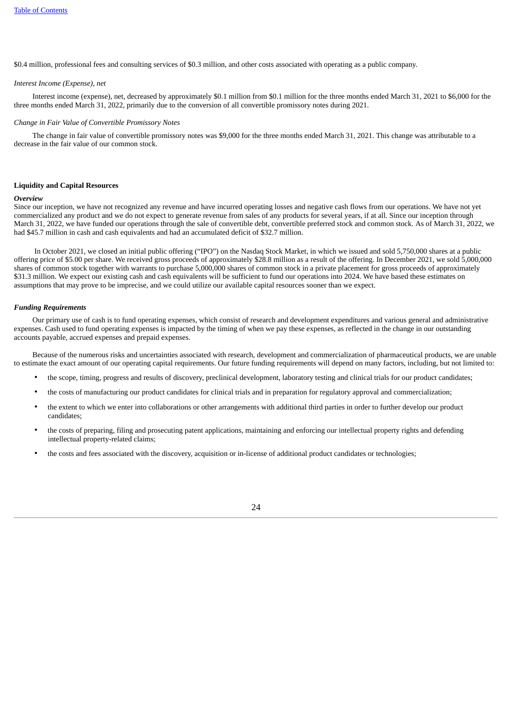\$0.4 million, professional fees and consulting services of \$0.3 million, and other costs associated with operating as a public company.

#### *Interest Income (Expense), net*

Interest income (expense), net, decreased by approximately \$0.1 million from \$0.1 million for the three months ended March 31, 2021 to \$6,000 for the three months ended March 31, 2022, primarily due to the conversion of all convertible promissory notes during 2021.

#### *Change in Fair Value of Convertible Promissory Notes*

The change in fair value of convertible promissory notes was \$9,000 for the three months ended March 31, 2021. This change was attributable to a decrease in the fair value of our common stock.

## **Liquidity and Capital Resources**

#### *Overview*

Since our inception, we have not recognized any revenue and have incurred operating losses and negative cash flows from our operations. We have not yet commercialized any product and we do not expect to generate revenue from sales of any products for several years, if at all. Since our inception through March 31, 2022, we have funded our operations through the sale of convertible debt, convertible preferred stock and common stock. As of March 31, 2022, we had \$45.7 million in cash and cash equivalents and had an accumulated deficit of \$32.7 million.

In October 2021, we closed an initial public offering ("IPO") on the Nasdaq Stock Market, in which we issued and sold 5,750,000 shares at a public offering price of \$5.00 per share. We received gross proceeds of approximately \$28.8 million as a result of the offering. In December 2021, we sold 5,000,000 shares of common stock together with warrants to purchase 5,000,000 shares of common stock in a private placement for gross proceeds of approximately \$31.3 million. We expect our existing cash and cash equivalents will be sufficient to fund our operations into 2024. We have based these estimates on assumptions that may prove to be imprecise, and we could utilize our available capital resources sooner than we expect.

## *Funding Requirements*

Our primary use of cash is to fund operating expenses, which consist of research and development expenditures and various general and administrative expenses. Cash used to fund operating expenses is impacted by the timing of when we pay these expenses, as reflected in the change in our outstanding accounts payable, accrued expenses and prepaid expenses.

Because of the numerous risks and uncertainties associated with research, development and commercialization of pharmaceutical products, we are unable to estimate the exact amount of our operating capital requirements. Our future funding requirements will depend on many factors, including, but not limited to:

- the scope, timing, progress and results of discovery, preclinical development, laboratory testing and clinical trials for our product candidates;
- the costs of manufacturing our product candidates for clinical trials and in preparation for regulatory approval and commercialization;
- the extent to which we enter into collaborations or other arrangements with additional third parties in order to further develop our product candidates;
- the costs of preparing, filing and prosecuting patent applications, maintaining and enforcing our intellectual property rights and defending intellectual property-related claims;
- the costs and fees associated with the discovery, acquisition or in-license of additional product candidates or technologies;

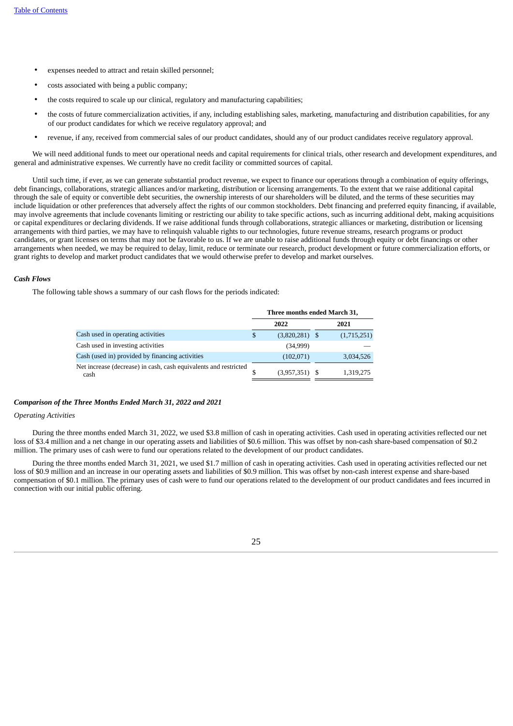- expenses needed to attract and retain skilled personnel;
- costs associated with being a public company;
- the costs required to scale up our clinical, regulatory and manufacturing capabilities;
- the costs of future commercialization activities, if any, including establishing sales, marketing, manufacturing and distribution capabilities, for any of our product candidates for which we receive regulatory approval; and
- revenue, if any, received from commercial sales of our product candidates, should any of our product candidates receive regulatory approval.

We will need additional funds to meet our operational needs and capital requirements for clinical trials, other research and development expenditures, and general and administrative expenses. We currently have no credit facility or committed sources of capital.

Until such time, if ever, as we can generate substantial product revenue, we expect to finance our operations through a combination of equity offerings, debt financings, collaborations, strategic alliances and/or marketing, distribution or licensing arrangements. To the extent that we raise additional capital through the sale of equity or convertible debt securities, the ownership interests of our shareholders will be diluted, and the terms of these securities may include liquidation or other preferences that adversely affect the rights of our common stockholders. Debt financing and preferred equity financing, if available, may involve agreements that include covenants limiting or restricting our ability to take specific actions, such as incurring additional debt, making acquisitions or capital expenditures or declaring dividends. If we raise additional funds through collaborations, strategic alliances or marketing, distribution or licensing arrangements with third parties, we may have to relinquish valuable rights to our technologies, future revenue streams, research programs or product candidates, or grant licenses on terms that may not be favorable to us. If we are unable to raise additional funds through equity or debt financings or other arrangements when needed, we may be required to delay, limit, reduce or terminate our research, product development or future commercialization efforts, or grant rights to develop and market product candidates that we would otherwise prefer to develop and market ourselves.

## *Cash Flows*

The following table shows a summary of our cash flows for the periods indicated:

|                                                                          | Three months ended March 31, |                  |  |             |
|--------------------------------------------------------------------------|------------------------------|------------------|--|-------------|
|                                                                          |                              | 2022             |  | 2021        |
| Cash used in operating activities                                        | \$                           | $(3,820,281)$ \$ |  | (1,715,251) |
| Cash used in investing activities                                        |                              | (34,999)         |  |             |
| Cash (used in) provided by financing activities                          |                              | (102, 071)       |  | 3,034,526   |
| Net increase (decrease) in cash, cash equivalents and restricted<br>cash | \$                           | $(3,957,351)$ \$ |  | 1,319,275   |

## *Comparison of the Three Months Ended March 31, 2022 and 2021*

#### *Operating Activities*

During the three months ended March 31, 2022, we used \$3.8 million of cash in operating activities. Cash used in operating activities reflected our net loss of \$3.4 million and a net change in our operating assets and liabilities of \$0.6 million. This was offset by non-cash share-based compensation of \$0.2 million. The primary uses of cash were to fund our operations related to the development of our product candidates.

During the three months ended March 31, 2021, we used \$1.7 million of cash in operating activities. Cash used in operating activities reflected our net loss of \$0.9 million and an increase in our operating assets and liabilities of \$0.9 million. This was offset by non-cash interest expense and share-based compensation of \$0.1 million. The primary uses of cash were to fund our operations related to the development of our product candidates and fees incurred in connection with our initial public offering.

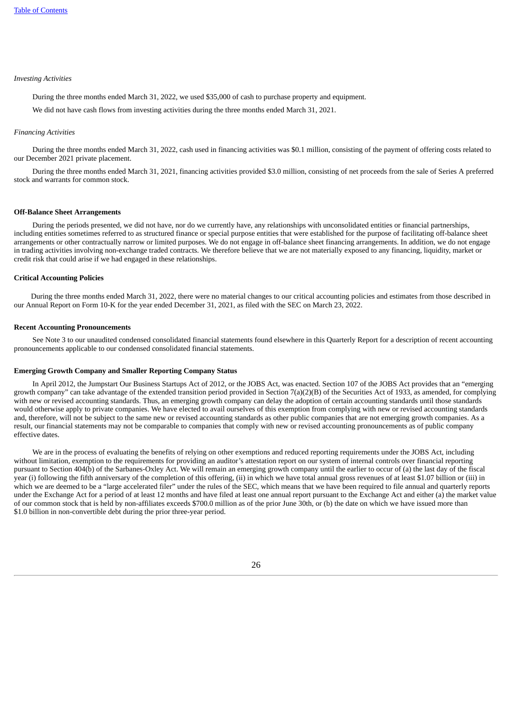## *Investing Activities*

During the three months ended March 31, 2022, we used \$35,000 of cash to purchase property and equipment.

We did not have cash flows from investing activities during the three months ended March 31, 2021.

#### *Financing Activities*

During the three months ended March 31, 2022, cash used in financing activities was \$0.1 million, consisting of the payment of offering costs related to our December 2021 private placement.

During the three months ended March 31, 2021, financing activities provided \$3.0 million, consisting of net proceeds from the sale of Series A preferred stock and warrants for common stock.

#### **Off-Balance Sheet Arrangements**

During the periods presented, we did not have, nor do we currently have, any relationships with unconsolidated entities or financial partnerships, including entities sometimes referred to as structured finance or special purpose entities that were established for the purpose of facilitating off-balance sheet arrangements or other contractually narrow or limited purposes. We do not engage in off-balance sheet financing arrangements. In addition, we do not engage in trading activities involving non-exchange traded contracts. We therefore believe that we are not materially exposed to any financing, liquidity, market or credit risk that could arise if we had engaged in these relationships.

## **Critical Accounting Policies**

During the three months ended March 31, 2022, there were no material changes to our critical accounting policies and estimates from those described in our Annual Report on Form 10-K for the year ended December 31, 2021, as filed with the SEC on March 23, 2022.

#### **Recent Accounting Pronouncements**

See Note 3 to our unaudited condensed consolidated financial statements found elsewhere in this Quarterly Report for a description of recent accounting pronouncements applicable to our condensed consolidated financial statements.

#### **Emerging Growth Company and Smaller Reporting Company Status**

In April 2012, the Jumpstart Our Business Startups Act of 2012, or the JOBS Act, was enacted. Section 107 of the JOBS Act provides that an "emerging growth company" can take advantage of the extended transition period provided in Section 7(a)(2)(B) of the Securities Act of 1933, as amended, for complying with new or revised accounting standards. Thus, an emerging growth company can delay the adoption of certain accounting standards until those standards would otherwise apply to private companies. We have elected to avail ourselves of this exemption from complying with new or revised accounting standards and, therefore, will not be subject to the same new or revised accounting standards as other public companies that are not emerging growth companies. As a result, our financial statements may not be comparable to companies that comply with new or revised accounting pronouncements as of public company effective dates.

We are in the process of evaluating the benefits of relying on other exemptions and reduced reporting requirements under the JOBS Act, including without limitation, exemption to the requirements for providing an auditor's attestation report on our system of internal controls over financial reporting pursuant to Section 404(b) of the Sarbanes-Oxley Act. We will remain an emerging growth company until the earlier to occur of (a) the last day of the fiscal year (i) following the fifth anniversary of the completion of this offering, (ii) in which we have total annual gross revenues of at least \$1.07 billion or (iii) in which we are deemed to be a "large accelerated filer" under the rules of the SEC, which means that we have been required to file annual and quarterly reports under the Exchange Act for a period of at least 12 months and have filed at least one annual report pursuant to the Exchange Act and either (a) the market value of our common stock that is held by non-affiliates exceeds \$700.0 million as of the prior June 30th, or (b) the date on which we have issued more than \$1.0 billion in non-convertible debt during the prior three-year period.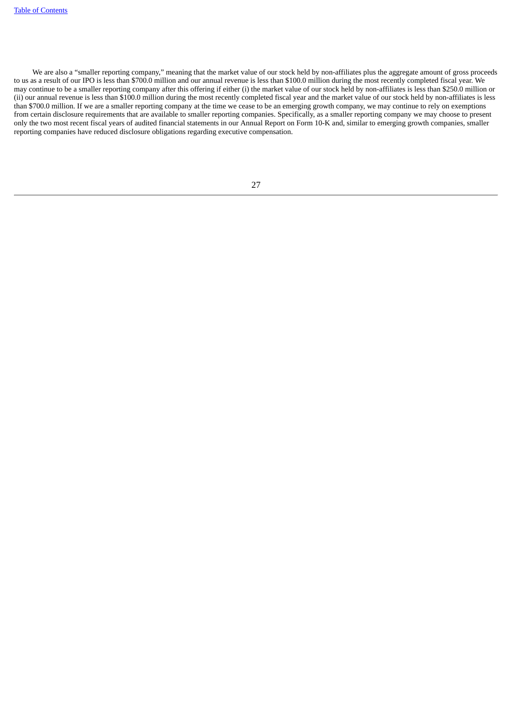<span id="page-26-0"></span>We are also a "smaller reporting company," meaning that the market value of our stock held by non-affiliates plus the aggregate amount of gross proceeds to us as a result of our IPO is less than \$700.0 million and our annual revenue is less than \$100.0 million during the most recently completed fiscal year. We may continue to be a smaller reporting company after this offering if either (i) the market value of our stock held by non-affiliates is less than \$250.0 million or (ii) our annual revenue is less than \$100.0 million during the most recently completed fiscal year and the market value of our stock held by non-affiliates is less than \$700.0 million. If we are a smaller reporting company at the time we cease to be an emerging growth company, we may continue to rely on exemptions from certain disclosure requirements that are available to smaller reporting companies. Specifically, as a smaller reporting company we may choose to present only the two most recent fiscal years of audited financial statements in our Annual Report on Form 10-K and, similar to emerging growth companies, smaller reporting companies have reduced disclosure obligations regarding executive compensation.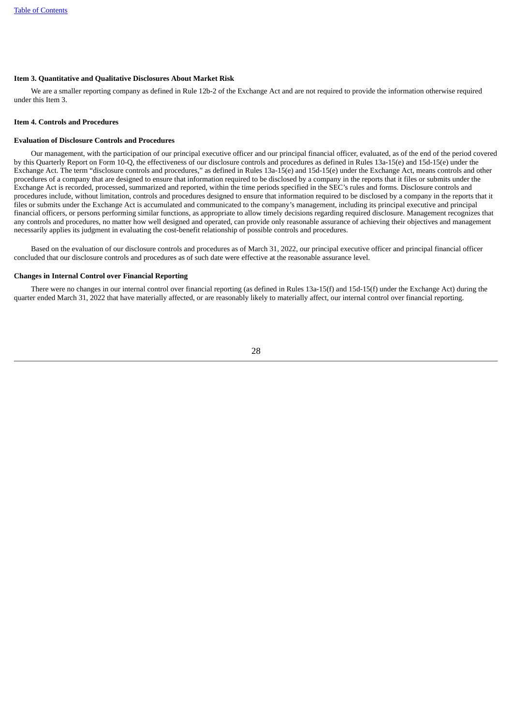#### **Item 3. Quantitative and Qualitative Disclosures About Market Risk**

We are a smaller reporting company as defined in Rule 12b-2 of the Exchange Act and are not required to provide the information otherwise required under this Item 3.

#### <span id="page-27-0"></span>**Item 4. Controls and Procedures**

## **Evaluation of Disclosure Controls and Procedures**

Our management, with the participation of our principal executive officer and our principal financial officer, evaluated, as of the end of the period covered by this Quarterly Report on Form 10-Q, the effectiveness of our disclosure controls and procedures as defined in Rules 13a-15(e) and 15d-15(e) under the Exchange Act. The term "disclosure controls and procedures," as defined in Rules 13a-15(e) and 15d-15(e) under the Exchange Act, means controls and other procedures of a company that are designed to ensure that information required to be disclosed by a company in the reports that it files or submits under the Exchange Act is recorded, processed, summarized and reported, within the time periods specified in the SEC's rules and forms. Disclosure controls and procedures include, without limitation, controls and procedures designed to ensure that information required to be disclosed by a company in the reports that it files or submits under the Exchange Act is accumulated and communicated to the company's management, including its principal executive and principal financial officers, or persons performing similar functions, as appropriate to allow timely decisions regarding required disclosure. Management recognizes that any controls and procedures, no matter how well designed and operated, can provide only reasonable assurance of achieving their objectives and management necessarily applies its judgment in evaluating the cost-benefit relationship of possible controls and procedures.

Based on the evaluation of our disclosure controls and procedures as of March 31, 2022, our principal executive officer and principal financial officer concluded that our disclosure controls and procedures as of such date were effective at the reasonable assurance level.

## **Changes in Internal Control over Financial Reporting**

<span id="page-27-1"></span>There were no changes in our internal control over financial reporting (as defined in Rules 13a-15(f) and 15d-15(f) under the Exchange Act) during the quarter ended March 31, 2022 that have materially affected, or are reasonably likely to materially affect, our internal control over financial reporting.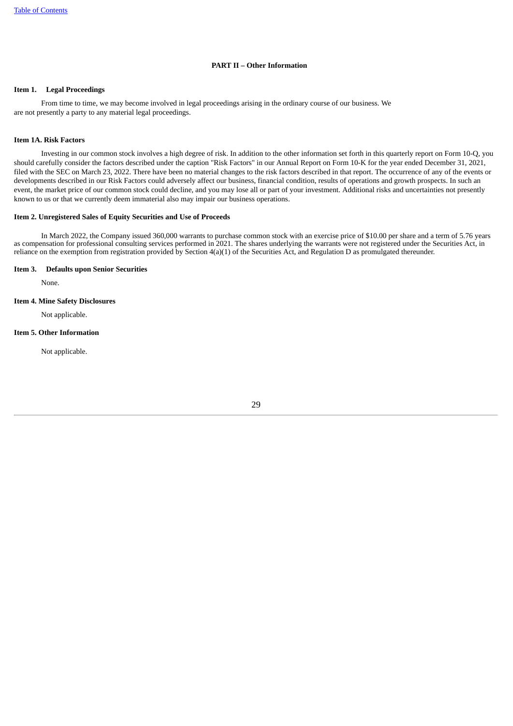## **PART II – Other Information**

## <span id="page-28-0"></span>**Item 1. Legal Proceedings**

From time to time, we may become involved in legal proceedings arising in the ordinary course of our business. We are not presently a party to any material legal proceedings.

## <span id="page-28-1"></span>**Item 1A. Risk Factors**

Investing in our common stock involves a high degree of risk. In addition to the other information set forth in this quarterly report on Form 10-Q, you should carefully consider the factors described under the caption "Risk Factors" in our Annual Report on Form 10-K for the year ended December 31, 2021, filed with the SEC on March 23, 2022. There have been no material changes to the risk factors described in that report. The occurrence of any of the events or developments described in our Risk Factors could adversely affect our business, financial condition, results of operations and growth prospects. In such an event, the market price of our common stock could decline, and you may lose all or part of your investment. Additional risks and uncertainties not presently known to us or that we currently deem immaterial also may impair our business operations.

#### <span id="page-28-2"></span>**Item 2. Unregistered Sales of Equity Securities and Use of Proceeds**

In March 2022, the Company issued 360,000 warrants to purchase common stock with an exercise price of \$10.00 per share and a term of 5.76 years as compensation for professional consulting services performed in 2021. The shares underlying the warrants were not registered under the Securities Act, in reliance on the exemption from registration provided by Section 4(a)(1) of the Securities Act, and Regulation D as promulgated thereunder.

#### <span id="page-28-3"></span>**Item 3. Defaults upon Senior Securities**

None.

## <span id="page-28-4"></span>**Item 4. Mine Safety Disclosures**

Not applicable.

#### <span id="page-28-5"></span>**Item 5. Other Information**

<span id="page-28-6"></span>Not applicable.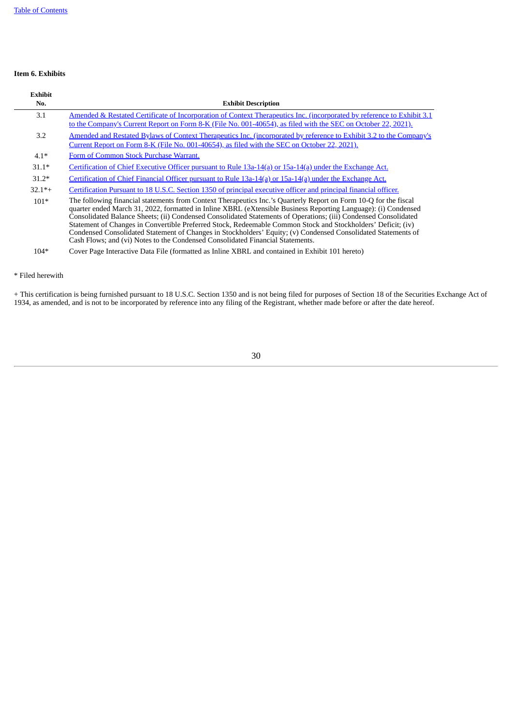# **Item 6. Exhibits**

| Exhibit<br>No. | <b>Exhibit Description</b>                                                                                                                                                                                                                                                                                                                                                                                                                                                                                                                                                                                                                                               |
|----------------|--------------------------------------------------------------------------------------------------------------------------------------------------------------------------------------------------------------------------------------------------------------------------------------------------------------------------------------------------------------------------------------------------------------------------------------------------------------------------------------------------------------------------------------------------------------------------------------------------------------------------------------------------------------------------|
| 3.1            | Amended & Restated Certificate of Incorporation of Context Therapeutics Inc. (incorporated by reference to Exhibit 3.1)<br>to the Company's Current Report on Form 8-K (File No. 001-40654), as filed with the SEC on October 22, 2021).                                                                                                                                                                                                                                                                                                                                                                                                                                 |
| 3.2            | Amended and Restated Bylaws of Context Therapeutics Inc. (incorporated by reference to Exhibit 3.2 to the Company's<br>Current Report on Form 8-K (File No. 001-40654), as filed with the SEC on October 22, 2021).                                                                                                                                                                                                                                                                                                                                                                                                                                                      |
| $4.1*$         | Form of Common Stock Purchase Warrant.                                                                                                                                                                                                                                                                                                                                                                                                                                                                                                                                                                                                                                   |
| $31.1*$        | Certification of Chief Executive Officer pursuant to Rule 13a-14(a) or 15a-14(a) under the Exchange Act.                                                                                                                                                                                                                                                                                                                                                                                                                                                                                                                                                                 |
| $31.2*$        | Certification of Chief Financial Officer pursuant to Rule 13a-14(a) or 15a-14(a) under the Exchange Act.                                                                                                                                                                                                                                                                                                                                                                                                                                                                                                                                                                 |
| $32.1*+$       | Certification Pursuant to 18 U.S.C. Section 1350 of principal executive officer and principal financial officer.                                                                                                                                                                                                                                                                                                                                                                                                                                                                                                                                                         |
| $101*$         | The following financial statements from Context Therapeutics Inc.'s Quarterly Report on Form 10-Q for the fiscal<br>quarter ended March 31, 2022, formatted in Inline XBRL (eXtensible Business Reporting Language): (i) Condensed<br>Consolidated Balance Sheets; (ii) Condensed Consolidated Statements of Operations; (iii) Condensed Consolidated<br>Statement of Changes in Convertible Preferred Stock, Redeemable Common Stock and Stockholders' Deficit; (iv)<br>Condensed Consolidated Statement of Changes in Stockholders' Equity; (v) Condensed Consolidated Statements of<br>Cash Flows; and (vi) Notes to the Condensed Consolidated Financial Statements. |
| $104*$         | Cover Page Interactive Data File (formatted as Inline XBRL and contained in Exhibit 101 hereto)                                                                                                                                                                                                                                                                                                                                                                                                                                                                                                                                                                          |

\* Filed herewith

<span id="page-29-0"></span>+ This certification is being furnished pursuant to 18 U.S.C. Section 1350 and is not being filed for purposes of Section 18 of the Securities Exchange Act of 1934, as amended, and is not to be incorporated by reference into any filing of the Registrant, whether made before or after the date hereof.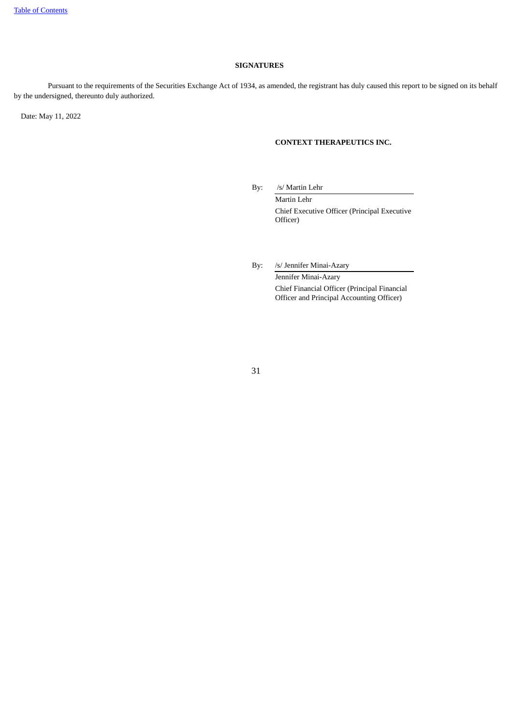## **SIGNATURES**

Pursuant to the requirements of the Securities Exchange Act of 1934, as amended, the registrant has duly caused this report to be signed on its behalf by the undersigned, thereunto duly authorized.

Date: May 11, 2022

## **CONTEXT THERAPEUTICS INC.**

By: /s/ Martin Lehr

Martin Lehr Chief Executive Officer (Principal Executive Officer)

By: /s/ Jennifer Minai-Azary

Jennifer Minai-Azary Chief Financial Officer (Principal Financial Officer and Principal Accounting Officer)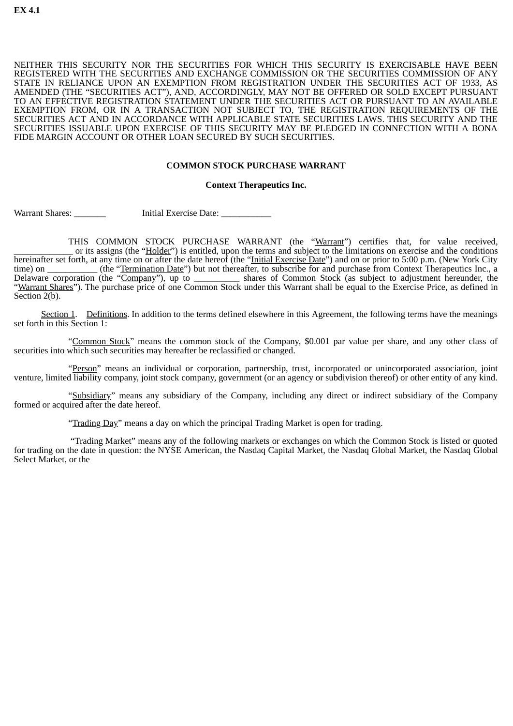<span id="page-31-0"></span>NEITHER THIS SECURITY NOR THE SECURITIES FOR WHICH THIS SECURITY IS EXERCISABLE HAVE BEEN REGISTERED WITH THE SECURITIES AND EXCHANGE COMMISSION OR THE SECURITIES COMMISSION OF ANY STATE IN RELIANCE UPON AN EXEMPTION FROM REGISTRATION UNDER THE SECURITIES ACT OF 1933, AS AMENDED (THE "SECURITIES ACT"), AND, ACCORDINGLY, MAY NOT BE OFFERED OR SOLD EXCEPT PURSUANT TO AN EFFECTIVE REGISTRATION STATEMENT UNDER THE SECURITIES ACT OR PURSUANT TO AN AVAILABLE EXEMPTION FROM, OR IN A TRANSACTION NOT SUBJECT TO, THE REGISTRATION REQUIREMENTS OF THE SECURITIES ACT AND IN ACCORDANCE WITH APPLICABLE STATE SECURITIES LAWS. THIS SECURITY AND THE SECURITIES ISSUABLE UPON EXERCISE OF THIS SECURITY MAY BE PLEDGED IN CONNECTION WITH A BONA FIDE MARGIN ACCOUNT OR OTHER LOAN SECURED BY SUCH SECURITIES.

# **COMMON STOCK PURCHASE WARRANT**

## **Context Therapeutics Inc.**

Warrant Shares: \_\_\_\_\_\_\_\_\_\_\_\_\_ Initial Exercise Date: \_\_\_\_\_\_\_\_\_\_\_\_\_\_\_\_\_\_\_\_\_\_\_\_\_\_\_

THIS COMMON STOCK PURCHASE WARRANT (the "Warrant") certifies that, for value received, or its assigns (the "Holder") is entitled, upon the terms and subject to the limitations on exercise and the conditions hereinafter set forth, at any time on or after the date hereof (the "<u>Initial Exercise Date</u>") and on or prior to 5:00 p.m. (New York City time) on (the "Termination Date") but not thereafter, to subscribe for and purchase time) on <u>the "Termination Date</u>") but not thereafter, to subscribe for and purchase from Context Therapeutics Inc., a<br>Delaware corporation (the "Company"), up to shares of Common Stock (as subject to adjustment hereunder,  $\_$  shares of Common Stock (as subject to adjustment hereunder, the "Warrant Shares"). The purchase price of one Common Stock under this Warrant shall be equal to the Exercise Price, as defined in Section 2(b).

Section 1. Definitions. In addition to the terms defined elsewhere in this Agreement, the following terms have the meanings set forth in this Section 1:

"Common Stock" means the common stock of the Company, \$0.001 par value per share, and any other class of securities into which such securities may hereafter be reclassified or changed.

"Person" means an individual or corporation, partnership, trust, incorporated or unincorporated association, joint venture, limited liability company, joint stock company, government (or an agency or subdivision thereof) or other entity of any kind.

"Subsidiary" means any subsidiary of the Company, including any direct or indirect subsidiary of the Company formed or acquired after the date hereof.

"Trading Day" means a day on which the principal Trading Market is open for trading.

 "Trading Market" means any of the following markets or exchanges on which the Common Stock is listed or quoted for trading on the date in question: the NYSE American, the Nasdaq Capital Market, the Nasdaq Global Market, the Nasdaq Global Select Market, or the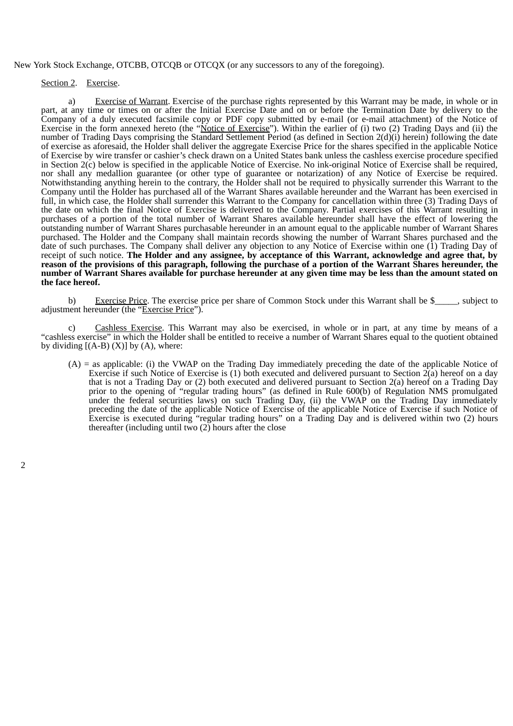New York Stock Exchange, OTCBB, OTCQB or OTCQX (or any successors to any of the foregoing).

## Section 2. Exercise.

a) Exercise of Warrant. Exercise of the purchase rights represented by this Warrant may be made, in whole or in part, at any time or times on or after the Initial Exercise Date and on or before the Termination Date by delivery to the Company of a duly executed facsimile copy or PDF copy submitted by e-mail (or e-mail attachment) of the Notice of Exercise in the form annexed hereto (the "Notice of Exercise"). Within the earlier of (i) two (2) Trading Days and (ii) the number of Trading Days comprising the Standard Settlement Period (as defined in Section 2(d)(i) herein) following the date of exercise as aforesaid, the Holder shall deliver the aggregate Exercise Price for the shares specified in the applicable Notice of Exercise by wire transfer or cashier's check drawn on a United States bank unless the cashless exercise procedure specified in Section 2(c) below is specified in the applicable Notice of Exercise. No ink-original Notice of Exercise shall be required, nor shall any medallion guarantee (or other type of guarantee or notarization) of any Notice of Exercise be required. Notwithstanding anything herein to the contrary, the Holder shall not be required to physically surrender this Warrant to the Company until the Holder has purchased all of the Warrant Shares available hereunder and the Warrant has been exercised in full, in which case, the Holder shall surrender this Warrant to the Company for cancellation within three (3) Trading Days of the date on which the final Notice of Exercise is delivered to the Company. Partial exercises of this Warrant resulting in purchases of a portion of the total number of Warrant Shares available hereunder shall have the effect of lowering the outstanding number of Warrant Shares purchasable hereunder in an amount equal to the applicable number of Warrant Shares purchased. The Holder and the Company shall maintain records showing the number of Warrant Shares purchased and the date of such purchases. The Company shall deliver any objection to any Notice of Exercise within one (1) Trading Day of receipt of such notice. **The Holder and any assignee, by acceptance of this Warrant, acknowledge and agree that, by reason of the provisions of this paragraph, following the purchase of a portion of the Warrant Shares hereunder, the number of Warrant Shares available for purchase hereunder at any given time may be less than the amount stated on the face hereof.**

b) Exercise Price. The exercise price per share of Common Stock under this Warrant shall be \$\_\_\_\_\_, subject to adjustment hereunder (the "Exercise Price").

c) Cashless Exercise. This Warrant may also be exercised, in whole or in part, at any time by means of a "cashless exercise" in which the Holder shall be entitled to receive a number of Warrant Shares equal to the quotient obtained by dividing  $[(A-B) (X)]$  by  $(A)$ , where:

(A) = as applicable: (i) the VWAP on the Trading Day immediately preceding the date of the applicable Notice of Exercise if such Notice of Exercise is (1) both executed and delivered pursuant to Section 2(a) hereof on a day that is not a Trading Day or (2) both executed and delivered pursuant to Section 2(a) hereof on a Trading Day prior to the opening of "regular trading hours" (as defined in Rule 600(b) of Regulation NMS promulgated under the federal securities laws) on such Trading Day, (ii) the VWAP on the Trading Day immediately preceding the date of the applicable Notice of Exercise of the applicable Notice of Exercise if such Notice of Exercise is executed during "regular trading hours" on a Trading Day and is delivered within two (2) hours thereafter (including until two  $(2)$ ) hours after the close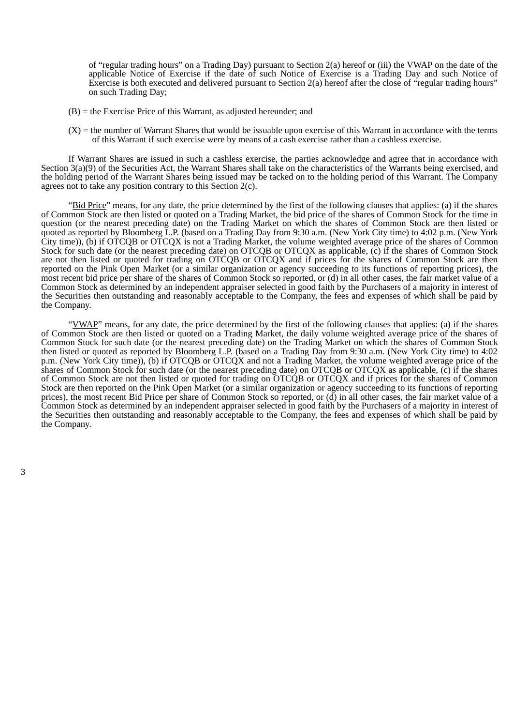of "regular trading hours" on a Trading Day) pursuant to Section 2(a) hereof or (iii) the VWAP on the date of the applicable Notice of Exercise if the date of such Notice of Exercise is a Trading Day and such Notice of Exercise is both executed and delivered pursuant to Section  $2(a)$  hereof after the close of "regular trading hours" on such Trading Day;

- (B) = the Exercise Price of this Warrant, as adjusted hereunder; and
- $(X)$  = the number of Warrant Shares that would be issuable upon exercise of this Warrant in accordance with the terms of this Warrant if such exercise were by means of a cash exercise rather than a cashless exercise.

If Warrant Shares are issued in such a cashless exercise, the parties acknowledge and agree that in accordance with Section 3(a)(9) of the Securities Act, the Warrant Shares shall take on the characteristics of the Warrants being exercised, and the holding period of the Warrant Shares being issued may be tacked on to the holding period of this Warrant. The Company agrees not to take any position contrary to this Section 2(c).

"Bid Price" means, for any date, the price determined by the first of the following clauses that applies: (a) if the shares of Common Stock are then listed or quoted on a Trading Market, the bid price of the shares of Common Stock for the time in question (or the nearest preceding date) on the Trading Market on which the shares of Common Stock are then listed or quoted as reported by Bloomberg L.P. (based on a Trading Day from 9:30 a.m. (New York City time) to 4:02 p.m. (New York City time)), (b) if OTCQB or OTCQX is not a Trading Market, the volume weighted average price of the shares of Common Stock for such date (or the nearest preceding date) on OTCQB or OTCQX as applicable, (c) if the shares of Common Stock are not then listed or quoted for trading on OTCQB or OTCQX and if prices for the shares of Common Stock are then reported on the Pink Open Market (or a similar organization or agency succeeding to its functions of reporting prices), the most recent bid price per share of the shares of Common Stock so reported, or (d) in all other cases, the fair market value of a Common Stock as determined by an independent appraiser selected in good faith by the Purchasers of a majority in interest of the Securities then outstanding and reasonably acceptable to the Company, the fees and expenses of which shall be paid by the Company.

"VWAP" means, for any date, the price determined by the first of the following clauses that applies: (a) if the shares of Common Stock are then listed or quoted on a Trading Market, the daily volume weighted average price of the shares of Common Stock for such date (or the nearest preceding date) on the Trading Market on which the shares of Common Stock then listed or quoted as reported by Bloomberg L.P. (based on a Trading Day from 9:30 a.m. (New York City time) to 4:02 p.m. (New York City time)), (b) if OTCQB or OTCQX and not a Trading Market, the volume weighted average price of the shares of Common Stock for such date (or the nearest preceding date) on OTCQB or OTCQX as applicable, (c) if the shares of Common Stock are not then listed or quoted for trading on OTCQB or OTCQX and if prices for the shares of Common Stock are then reported on the Pink Open Market (or a similar organization or agency succeeding to its functions of reporting prices), the most recent Bid Price per share of Common Stock so reported, or (d) in all other cases, the fair market value of a Common Stock as determined by an independent appraiser selected in good faith by the Purchasers of a majority in interest of the Securities then outstanding and reasonably acceptable to the Company, the fees and expenses of which shall be paid by the Company.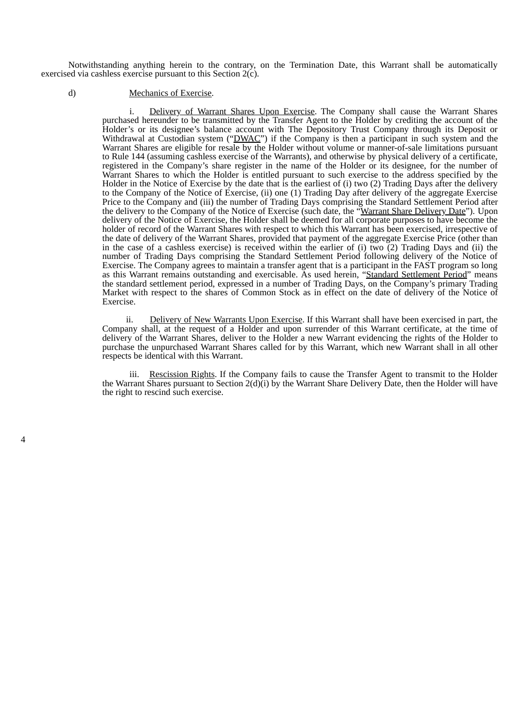Notwithstanding anything herein to the contrary, on the Termination Date, this Warrant shall be automatically exercised via cashless exercise pursuant to this Section 2(c).

## d) Mechanics of Exercise.

4

i. Delivery of Warrant Shares Upon Exercise. The Company shall cause the Warrant Shares purchased hereunder to be transmitted by the Transfer Agent to the Holder by crediting the account of the Holder's or its designee's balance account with The Depository Trust Company through its Deposit or Withdrawal at Custodian system ("DWAC") if the Company is then a participant in such system and the Warrant Shares are eligible for resale by the Holder without volume or manner-of-sale limitations pursuant to Rule 144 (assuming cashless exercise of the Warrants), and otherwise by physical delivery of a certificate, registered in the Company's share register in the name of the Holder or its designee, for the number of Warrant Shares to which the Holder is entitled pursuant to such exercise to the address specified by the Holder in the Notice of Exercise by the date that is the earliest of (i) two (2) Trading Days after the delivery to the Company of the Notice of Exercise, (ii) one (1) Trading Day after delivery of the aggregate Exercise Price to the Company and (iii) the number of Trading Days comprising the Standard Settlement Period after the delivery to the Company of the Notice of Exercise (such date, the "Warrant Share Delivery Date"). Upon delivery of the Notice of Exercise, the Holder shall be deemed for all corporate purposes to have become the holder of record of the Warrant Shares with respect to which this Warrant has been exercised, irrespective of the date of delivery of the Warrant Shares, provided that payment of the aggregate Exercise Price (other than in the case of a cashless exercise) is received within the earlier of (i) two (2) Trading Days and (ii) the number of Trading Days comprising the Standard Settlement Period following delivery of the Notice of Exercise. The Company agrees to maintain a transfer agent that is a participant in the FAST program so long as this Warrant remains outstanding and exercisable. As used herein, "Standard Settlement Period" means the standard settlement period, expressed in a number of Trading Days, on the Company's primary Trading Market with respect to the shares of Common Stock as in effect on the date of delivery of the Notice of Exercise.

ii. Delivery of New Warrants Upon Exercise. If this Warrant shall have been exercised in part, the Company shall, at the request of a Holder and upon surrender of this Warrant certificate, at the time of delivery of the Warrant Shares, deliver to the Holder a new Warrant evidencing the rights of the Holder to purchase the unpurchased Warrant Shares called for by this Warrant, which new Warrant shall in all other respects be identical with this Warrant.

iii. Rescission Rights. If the Company fails to cause the Transfer Agent to transmit to the Holder the Warrant Shares pursuant to Section  $2(d)(i)$  by the Warrant Share Delivery Date, then the Holder will have the right to rescind such exercise.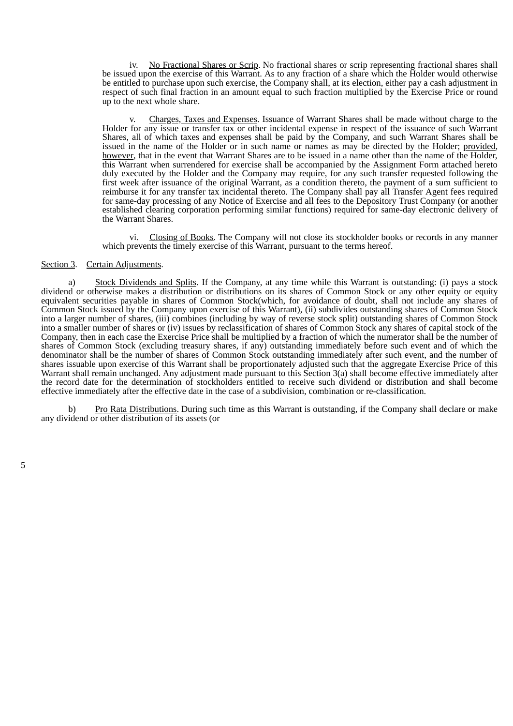iv. No Fractional Shares or Scrip. No fractional shares or scrip representing fractional shares shall be issued upon the exercise of this Warrant. As to any fraction of a share which the Holder would otherwise be entitled to purchase upon such exercise, the Company shall, at its election, either pay a cash adjustment in respect of such final fraction in an amount equal to such fraction multiplied by the Exercise Price or round up to the next whole share.

Charges, Taxes and Expenses. Issuance of Warrant Shares shall be made without charge to the Holder for any issue or transfer tax or other incidental expense in respect of the issuance of such Warrant Shares, all of which taxes and expenses shall be paid by the Company, and such Warrant Shares shall be issued in the name of the Holder or in such name or names as may be directed by the Holder; provided, however, that in the event that Warrant Shares are to be issued in a name other than the name of the Holder, this Warrant when surrendered for exercise shall be accompanied by the Assignment Form attached hereto duly executed by the Holder and the Company may require, for any such transfer requested following the first week after issuance of the original Warrant, as a condition thereto, the payment of a sum sufficient to reimburse it for any transfer tax incidental thereto. The Company shall pay all Transfer Agent fees required for same-day processing of any Notice of Exercise and all fees to the Depository Trust Company (or another established clearing corporation performing similar functions) required for same-day electronic delivery of the Warrant Shares.

vi. Closing of Books. The Company will not close its stockholder books or records in any manner which prevents the timely exercise of this Warrant, pursuant to the terms hereof.

## Section 3. Certain Adjustments.

a) Stock Dividends and Splits. If the Company, at any time while this Warrant is outstanding: (i) pays a stock dividend or otherwise makes a distribution or distributions on its shares of Common Stock or any other equity or equity equivalent securities payable in shares of Common Stock(which, for avoidance of doubt, shall not include any shares of Common Stock issued by the Company upon exercise of this Warrant), (ii) subdivides outstanding shares of Common Stock into a larger number of shares, (iii) combines (including by way of reverse stock split) outstanding shares of Common Stock into a smaller number of shares or (iv) issues by reclassification of shares of Common Stock any shares of capital stock of the Company, then in each case the Exercise Price shall be multiplied by a fraction of which the numerator shall be the number of shares of Common Stock (excluding treasury shares, if any) outstanding immediately before such event and of which the denominator shall be the number of shares of Common Stock outstanding immediately after such event, and the number of shares issuable upon exercise of this Warrant shall be proportionately adjusted such that the aggregate Exercise Price of this Warrant shall remain unchanged. Any adjustment made pursuant to this Section 3(a) shall become effective immediately after the record date for the determination of stockholders entitled to receive such dividend or distribution and shall become effective immediately after the effective date in the case of a subdivision, combination or re-classification.

b) Pro Rata Distributions. During such time as this Warrant is outstanding, if the Company shall declare or make any dividend or other distribution of its assets (or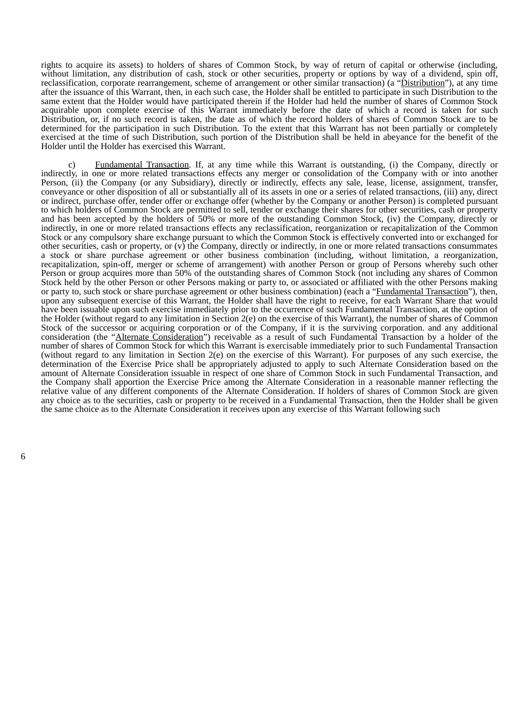rights to acquire its assets) to holders of shares of Common Stock, by way of return of capital or otherwise (including, without limitation, any distribution of cash, stock or other securities, property or options by way of a dividend, spin off, reclassification, corporate rearrangement, scheme of arrangement or other similar transaction) (a "Distribution"), at any time after the issuance of this Warrant, then, in each such case, the Holder shall be entitled to participate in such Distribution to the same extent that the Holder would have participated therein if the Holder had held the number of shares of Common Stock acquirable upon complete exercise of this Warrant immediately before the date of which a record is taken for such Distribution, or, if no such record is taken, the date as of which the record holders of shares of Common Stock are to be determined for the participation in such Distribution. To the extent that this Warrant has not been partially or completely exercised at the time of such Distribution, such portion of the Distribution shall be held in abeyance for the benefit of the Holder until the Holder has exercised this Warrant.

c) Fundamental Transaction. If, at any time while this Warrant is outstanding, (i) the Company, directly or indirectly, in one or more related transactions effects any merger or consolidation of the Company with or into another Person, (ii) the Company (or any Subsidiary), directly or indirectly, effects any sale, lease, license, assignment, transfer, conveyance or other disposition of all or substantially all of its assets in one or a series of related transactions, (iii) any, direct or indirect, purchase offer, tender offer or exchange offer (whether by the Company or another Person) is completed pursuant to which holders of Common Stock are permitted to sell, tender or exchange their shares for other securities, cash or property and has been accepted by the holders of 50% or more of the outstanding Common Stock, (iv) the Company, directly or indirectly, in one or more related transactions effects any reclassification, reorganization or recapitalization of the Common Stock or any compulsory share exchange pursuant to which the Common Stock is effectively converted into or exchanged for other securities, cash or property, or  $(v)$  the Company, directly or indirectly, in one or more related transactions consummates a stock or share purchase agreement or other business combination (including, without limitation, a reorganization, recapitalization, spin-off, merger or scheme of arrangement) with another Person or group of Persons whereby such other Person or group acquires more than 50% of the outstanding shares of Common Stock (not including any shares of Common Stock held by the other Person or other Persons making or party to, or associated or affiliated with the other Persons making or party to, such stock or share purchase agreement or other business combination) (each a "Fundamental Transaction"), then, upon any subsequent exercise of this Warrant, the Holder shall have the right to receive, for each Warrant Share that would have been issuable upon such exercise immediately prior to the occurrence of such Fundamental Transaction, at the option of the Holder (without regard to any limitation in Section 2(e) on the exercise of this Warrant), the number of shares of Common Stock of the successor or acquiring corporation or of the Company, if it is the surviving corporation. and any additional consideration (the "Alternate Consideration") receivable as a result of such Fundamental Transaction by a holder of the number of shares of Common Stock for which this Warrant is exercisable immediately prior to such Fundamental Transaction (without regard to any limitation in Section 2(e) on the exercise of this Warrant). For purposes of any such exercise, the determination of the Exercise Price shall be appropriately adjusted to apply to such Alternate Consideration based on the amount of Alternate Consideration issuable in respect of one share of Common Stock in such Fundamental Transaction, and the Company shall apportion the Exercise Price among the Alternate Consideration in a reasonable manner reflecting the relative value of any different components of the Alternate Consideration. If holders of shares of Common Stock are given any choice as to the securities, cash or property to be received in a Fundamental Transaction, then the Holder shall be given the same choice as to the Alternate Consideration it receives upon any exercise of this Warrant following such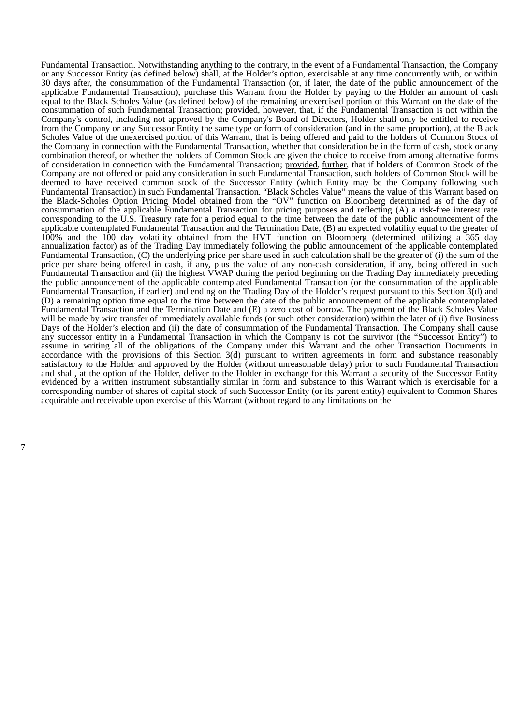Fundamental Transaction. Notwithstanding anything to the contrary, in the event of a Fundamental Transaction, the Company or any Successor Entity (as defined below) shall, at the Holder's option, exercisable at any time concurrently with, or within 30 days after, the consummation of the Fundamental Transaction (or, if later, the date of the public announcement of the applicable Fundamental Transaction), purchase this Warrant from the Holder by paying to the Holder an amount of cash equal to the Black Scholes Value (as defined below) of the remaining unexercised portion of this Warrant on the date of the consummation of such Fundamental Transaction; provided, however, that, if the Fundamental Transaction is not within the Company's control, including not approved by the Company's Board of Directors, Holder shall only be entitled to receive from the Company or any Successor Entity the same type or form of consideration (and in the same proportion), at the Black Scholes Value of the unexercised portion of this Warrant, that is being offered and paid to the holders of Common Stock of the Company in connection with the Fundamental Transaction, whether that consideration be in the form of cash, stock or any combination thereof, or whether the holders of Common Stock are given the choice to receive from among alternative forms of consideration in connection with the Fundamental Transaction; provided, further, that if holders of Common Stock of the Company are not offered or paid any consideration in such Fundamental Transaction, such holders of Common Stock will be deemed to have received common stock of the Successor Entity (which Entity may be the Company following such Fundamental Transaction) in such Fundamental Transaction. "<u>Black Scholes Value</u>" means the value of this Warrant based on the Black-Scholes Option Pricing Model obtained from the "OV" function on Bloomberg determined as of the day of consummation of the applicable Fundamental Transaction for pricing purposes and reflecting (A) a risk-free interest rate corresponding to the U.S. Treasury rate for a period equal to the time between the date of the public announcement of the applicable contemplated Fundamental Transaction and the Termination Date, (B) an expected volatility equal to the greater of 100% and the 100 day volatility obtained from the HVT function on Bloomberg (determined utilizing a 365 day annualization factor) as of the Trading Day immediately following the public announcement of the applicable contemplated Fundamental Transaction, (C) the underlying price per share used in such calculation shall be the greater of (i) the sum of the price per share being offered in cash, if any, plus the value of any non-cash consideration, if any, being offered in such Fundamental Transaction and (ii) the highest VWAP during the period beginning on the Trading Day immediately preceding the public announcement of the applicable contemplated Fundamental Transaction (or the consummation of the applicable Fundamental Transaction, if earlier) and ending on the Trading Day of the Holder's request pursuant to this Section 3(d) and (D) a remaining option time equal to the time between the date of the public announcement of the applicable contemplated Fundamental Transaction and the Termination Date and (E) a zero cost of borrow. The payment of the Black Scholes Value will be made by wire transfer of immediately available funds (or such other consideration) within the later of (i) five Business Days of the Holder's election and (ii) the date of consummation of the Fundamental Transaction. The Company shall cause any successor entity in a Fundamental Transaction in which the Company is not the survivor (the "Successor Entity") to assume in writing all of the obligations of the Company under this Warrant and the other Transaction Documents in accordance with the provisions of this Section 3(d) pursuant to written agreements in form and substance reasonably satisfactory to the Holder and approved by the Holder (without unreasonable delay) prior to such Fundamental Transaction and shall, at the option of the Holder, deliver to the Holder in exchange for this Warrant a security of the Successor Entity evidenced by a written instrument substantially similar in form and substance to this Warrant which is exercisable for a corresponding number of shares of capital stock of such Successor Entity (or its parent entity) equivalent to Common Shares acquirable and receivable upon exercise of this Warrant (without regard to any limitations on the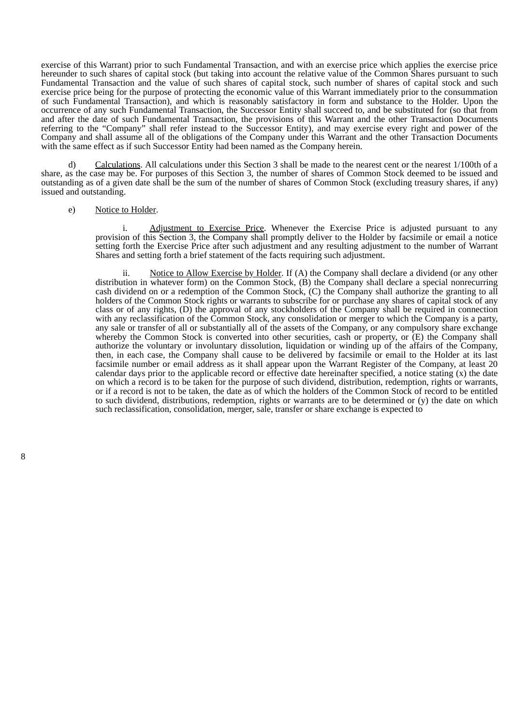exercise of this Warrant) prior to such Fundamental Transaction, and with an exercise price which applies the exercise price hereunder to such shares of capital stock (but taking into account the relative value of the Common Shares pursuant to such Fundamental Transaction and the value of such shares of capital stock, such number of shares of capital stock and such exercise price being for the purpose of protecting the economic value of this Warrant immediately prior to the consummation of such Fundamental Transaction), and which is reasonably satisfactory in form and substance to the Holder. Upon the occurrence of any such Fundamental Transaction, the Successor Entity shall succeed to, and be substituted for (so that from and after the date of such Fundamental Transaction, the provisions of this Warrant and the other Transaction Documents referring to the "Company" shall refer instead to the Successor Entity), and may exercise every right and power of the Company and shall assume all of the obligations of the Company under this Warrant and the other Transaction Documents with the same effect as if such Successor Entity had been named as the Company herein.

d) Calculations. All calculations under this Section 3 shall be made to the nearest cent or the nearest 1/100th of a share, as the case may be. For purposes of this Section 3, the number of shares of Common Stock deemed to be issued and outstanding as of a given date shall be the sum of the number of shares of Common Stock (excluding treasury shares, if any) issued and outstanding.

## e) Notice to Holder.

i. Adjustment to Exercise Price. Whenever the Exercise Price is adjusted pursuant to any provision of this Section 3, the Company shall promptly deliver to the Holder by facsimile or email a notice setting forth the Exercise Price after such adjustment and any resulting adjustment to the number of Warrant Shares and setting forth a brief statement of the facts requiring such adjustment.

ii. Notice to Allow Exercise by Holder. If (A) the Company shall declare a dividend (or any other distribution in whatever form) on the Common Stock,  $(B)$  the Company shall declare a special nonrecurring cash dividend on or a redemption of the Common Stock, (C) the Company shall authorize the granting to all holders of the Common Stock rights or warrants to subscribe for or purchase any shares of capital stock of any class or of any rights, (D) the approval of any stockholders of the Company shall be required in connection with any reclassification of the Common Stock, any consolidation or merger to which the Company is a party, any sale or transfer of all or substantially all of the assets of the Company, or any compulsory share exchange whereby the Common Stock is converted into other securities, cash or property, or  $(E)$  the Company shall authorize the voluntary or involuntary dissolution, liquidation or winding up of the affairs of the Company, then, in each case, the Company shall cause to be delivered by facsimile or email to the Holder at its last facsimile number or email address as it shall appear upon the Warrant Register of the Company, at least 20 calendar days prior to the applicable record or effective date hereinafter specified, a notice stating (x) the date on which a record is to be taken for the purpose of such dividend, distribution, redemption, rights or warrants, or if a record is not to be taken, the date as of which the holders of the Common Stock of record to be entitled to such dividend, distributions, redemption, rights or warrants are to be determined or (y) the date on which such reclassification, consolidation, merger, sale, transfer or share exchange is expected to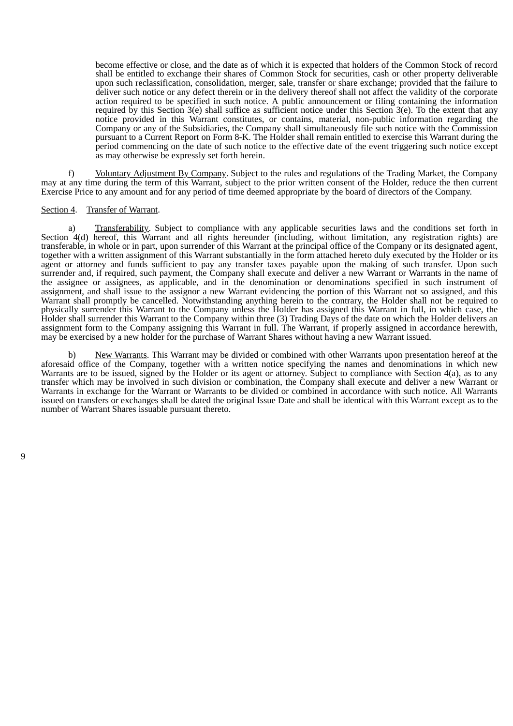become effective or close, and the date as of which it is expected that holders of the Common Stock of record shall be entitled to exchange their shares of Common Stock for securities, cash or other property deliverable upon such reclassification, consolidation, merger, sale, transfer or share exchange; provided that the failure to deliver such notice or any defect therein or in the delivery thereof shall not affect the validity of the corporate action required to be specified in such notice. A public announcement or filing containing the information required by this Section 3(e) shall suffice as sufficient notice under this Section 3(e). To the extent that any notice provided in this Warrant constitutes, or contains, material, non-public information regarding the Company or any of the Subsidiaries, the Company shall simultaneously file such notice with the Commission pursuant to a Current Report on Form 8-K. The Holder shall remain entitled to exercise this Warrant during the period commencing on the date of such notice to the effective date of the event triggering such notice except as may otherwise be expressly set forth herein.

f) Voluntary Adjustment By Company. Subject to the rules and regulations of the Trading Market, the Company may at any time during the term of this Warrant, subject to the prior written consent of the Holder, reduce the then current Exercise Price to any amount and for any period of time deemed appropriate by the board of directors of the Company.

## Section 4. Transfer of Warrant.

a) Transferability. Subject to compliance with any applicable securities laws and the conditions set forth in Section 4(d) hereof, this Warrant and all rights hereunder (including, without limitation, any registration rights) are transferable, in whole or in part, upon surrender of this Warrant at the principal office of the Company or its designated agent, together with a written assignment of this Warrant substantially in the form attached hereto duly executed by the Holder or its agent or attorney and funds sufficient to pay any transfer taxes payable upon the making of such transfer. Upon such surrender and, if required, such payment, the Company shall execute and deliver a new Warrant or Warrants in the name of the assignee or assignees, as applicable, and in the denomination or denominations specified in such instrument of assignment, and shall issue to the assignor a new Warrant evidencing the portion of this Warrant not so assigned, and this Warrant shall promptly be cancelled. Notwithstanding anything herein to the contrary, the Holder shall not be required to physically surrender this Warrant to the Company unless the Holder has assigned this Warrant in full, in which case, the Holder shall surrender this Warrant to the Company within three (3) Trading Days of the date on which the Holder delivers an assignment form to the Company assigning this Warrant in full. The Warrant, if properly assigned in accordance herewith, may be exercised by a new holder for the purchase of Warrant Shares without having a new Warrant issued.

b) New Warrants. This Warrant may be divided or combined with other Warrants upon presentation hereof at the aforesaid office of the Company, together with a written notice specifying the names and denominations in which new Warrants are to be issued, signed by the Holder or its agent or attorney. Subject to compliance with Section 4(a), as to any transfer which may be involved in such division or combination, the Company shall execute and deliver a new Warrant or Warrants in exchange for the Warrant or Warrants to be divided or combined in accordance with such notice. All Warrants issued on transfers or exchanges shall be dated the original Issue Date and shall be identical with this Warrant except as to the number of Warrant Shares issuable pursuant thereto.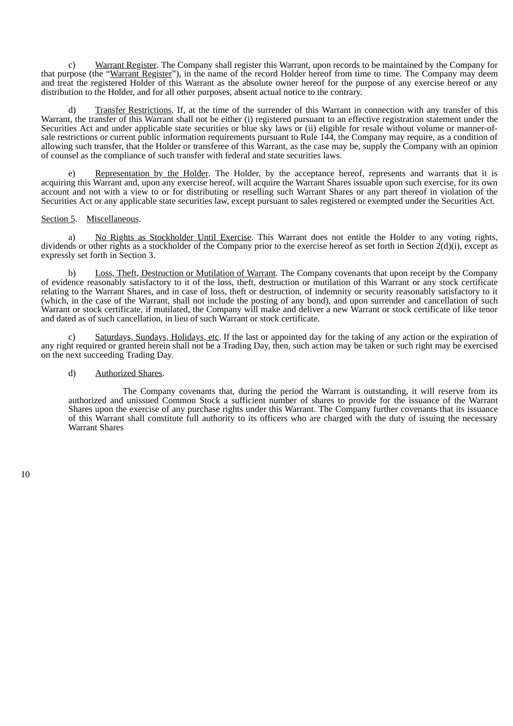c) Warrant Register. The Company shall register this Warrant, upon records to be maintained by the Company for that purpose (the "Warrant Register"), in the name of the record Holder hereof from time to time. The Company may deem and treat the registered Holder of this Warrant as the absolute owner hereof for the purpose of any exercise hereof or any distribution to the Holder, and for all other purposes, absent actual notice to the contrary.

d) Transfer Restrictions. If, at the time of the surrender of this Warrant in connection with any transfer of this Warrant, the transfer of this Warrant shall not be either (i) registered pursuant to an effective registration statement under the Securities Act and under applicable state securities or blue sky laws or (ii) eligible for resale without volume or manner-ofsale restrictions or current public information requirements pursuant to Rule 144, the Company may require, as a condition of allowing such transfer, that the Holder or transferee of this Warrant, as the case may be, supply the Company with an opinion of counsel as the compliance of such transfer with federal and state securities laws.

Representation by the Holder. The Holder, by the acceptance hereof, represents and warrants that it is acquiring this Warrant and, upon any exercise hereof, will acquire the Warrant Shares issuable upon such exercise, for its own account and not with a view to or for distributing or reselling such Warrant Shares or any part thereof in violation of the Securities Act or any applicable state securities law, except pursuant to sales registered or exempted under the Securities Act.

# Section 5. Miscellaneous.

a) No Rights as Stockholder Until Exercise. This Warrant does not entitle the Holder to any voting rights, dividends or other rights as a stockholder of the Company prior to the exercise hereof as set forth in Section 2(d)(i), except as expressly set forth in Section 3.

b) Loss, Theft, Destruction or Mutilation of Warrant. The Company covenants that upon receipt by the Company of evidence reasonably satisfactory to it of the loss, theft, destruction or mutilation of this Warrant or any stock certificate relating to the Warrant Shares, and in case of loss, theft or destruction, of indemnity or security reasonably satisfactory to it (which, in the case of the Warrant, shall not include the posting of any bond), and upon surrender and cancellation of such Warrant or stock certificate, if mutilated, the Company will make and deliver a new Warrant or stock certificate of like tenor and dated as of such cancellation, in lieu of such Warrant or stock certificate.

Saturdays, Sundays, Holidays, etc. If the last or appointed day for the taking of any action or the expiration of any right required or granted herein shall not be a Trading Day, then, such action may be taken or such right may be exercised on the next succeeding Trading Day.

# d) Authorized Shares.

The Company covenants that, during the period the Warrant is outstanding, it will reserve from its authorized and unissued Common Stock a sufficient number of shares to provide for the issuance of the Warrant Shares upon the exercise of any purchase rights under this Warrant. The Company further covenants that its issuance of this Warrant shall constitute full authority to its officers who are charged with the duty of issuing the necessary Warrant Shares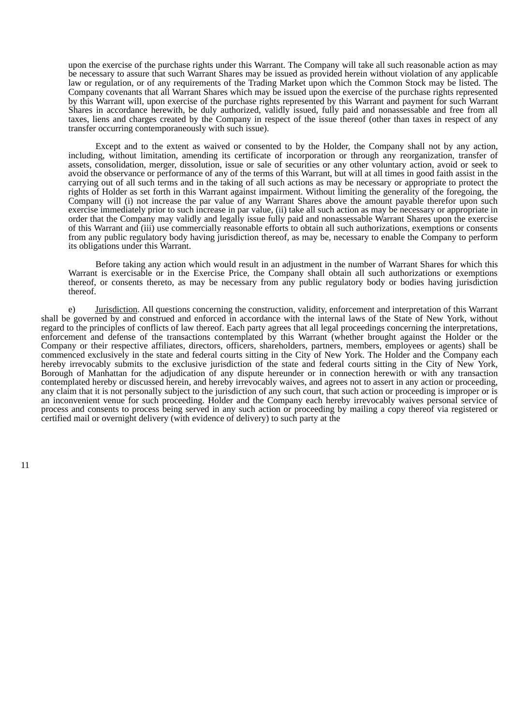upon the exercise of the purchase rights under this Warrant. The Company will take all such reasonable action as may be necessary to assure that such Warrant Shares may be issued as provided herein without violation of any applicable law or regulation, or of any requirements of the Trading Market upon which the Common Stock may be listed. The Company covenants that all Warrant Shares which may be issued upon the exercise of the purchase rights represented by this Warrant will, upon exercise of the purchase rights represented by this Warrant and payment for such Warrant Shares in accordance herewith, be duly authorized, validly issued, fully paid and nonassessable and free from all taxes, liens and charges created by the Company in respect of the issue thereof (other than taxes in respect of any transfer occurring contemporaneously with such issue).

Except and to the extent as waived or consented to by the Holder, the Company shall not by any action, including, without limitation, amending its certificate of incorporation or through any reorganization, transfer of assets, consolidation, merger, dissolution, issue or sale of securities or any other voluntary action, avoid or seek to avoid the observance or performance of any of the terms of this Warrant, but will at all times in good faith assist in the carrying out of all such terms and in the taking of all such actions as may be necessary or appropriate to protect the rights of Holder as set forth in this Warrant against impairment. Without limiting the generality of the foregoing, the Company will (i) not increase the par value of any Warrant Shares above the amount payable therefor upon such exercise immediately prior to such increase in par value, (ii) take all such action as may be necessary or appropriate in order that the Company may validly and legally issue fully paid and nonassessable Warrant Shares upon the exercise of this Warrant and (iii) use commercially reasonable efforts to obtain all such authorizations, exemptions or consents from any public regulatory body having jurisdiction thereof, as may be, necessary to enable the Company to perform its obligations under this Warrant.

Before taking any action which would result in an adjustment in the number of Warrant Shares for which this Warrant is exercisable or in the Exercise Price, the Company shall obtain all such authorizations or exemptions thereof, or consents thereto, as may be necessary from any public regulatory body or bodies having jurisdiction thereof.

e) Jurisdiction. All questions concerning the construction, validity, enforcement and interpretation of this Warrant shall be governed by and construed and enforced in accordance with the internal laws of the State of New York, without regard to the principles of conflicts of law thereof. Each party agrees that all legal proceedings concerning the interpretations, enforcement and defense of the transactions contemplated by this Warrant (whether brought against the Holder or the Company or their respective affiliates, directors, officers, shareholders, partners, members, employees or agents) shall be commenced exclusively in the state and federal courts sitting in the City of New York. The Holder and the Company each hereby irrevocably submits to the exclusive jurisdiction of the state and federal courts sitting in the City of New York, Borough of Manhattan for the adjudication of any dispute hereunder or in connection herewith or with any transaction contemplated hereby or discussed herein, and hereby irrevocably waives, and agrees not to assert in any action or proceeding, any claim that it is not personally subject to the jurisdiction of any such court, that such action or proceeding is improper or is an inconvenient venue for such proceeding. Holder and the Company each hereby irrevocably waives personal service of process and consents to process being served in any such action or proceeding by mailing a copy thereof via registered or certified mail or overnight delivery (with evidence of delivery) to such party at the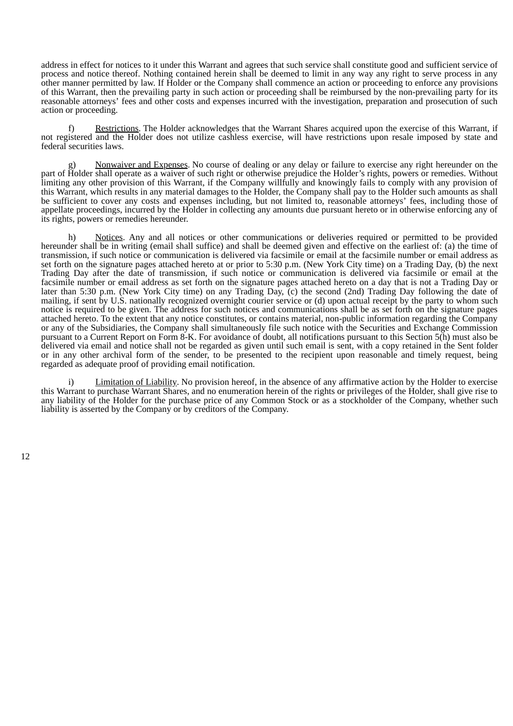address in effect for notices to it under this Warrant and agrees that such service shall constitute good and sufficient service of process and notice thereof. Nothing contained herein shall be deemed to limit in any way any right to serve process in any other manner permitted by law. If Holder or the Company shall commence an action or proceeding to enforce any provisions of this Warrant, then the prevailing party in such action or proceeding shall be reimbursed by the non-prevailing party for its reasonable attorneys' fees and other costs and expenses incurred with the investigation, preparation and prosecution of such action or proceeding.

f) Restrictions. The Holder acknowledges that the Warrant Shares acquired upon the exercise of this Warrant, if not registered and the Holder does not utilize cashless exercise, will have restrictions upon resale imposed by state and federal securities laws.

g) Nonwaiver and Expenses. No course of dealing or any delay or failure to exercise any right hereunder on the part of Holder shall operate as a waiver of such right or otherwise prejudice the Holder's rights, powers or remedies. Without limiting any other provision of this Warrant, if the Company willfully and knowingly fails to comply with any provision of this Warrant, which results in any material damages to the Holder, the Company shall pay to the Holder such amounts as shall be sufficient to cover any costs and expenses including, but not limited to, reasonable attorneys' fees, including those of appellate proceedings, incurred by the Holder in collecting any amounts due pursuant hereto or in otherwise enforcing any of its rights, powers or remedies hereunder.

h) Notices. Any and all notices or other communications or deliveries required or permitted to be provided hereunder shall be in writing (email shall suffice) and shall be deemed given and effective on the earliest of: (a) the time of transmission, if such notice or communication is delivered via facsimile or email at the facsimile number or email address as set forth on the signature pages attached hereto at or prior to 5:30 p.m. (New York City time) on a Trading Day, (b) the next Trading Day after the date of transmission, if such notice or communication is delivered via facsimile or email at the facsimile number or email address as set forth on the signature pages attached hereto on a day that is not a Trading Day or later than 5:30 p.m. (New York City time) on any Trading Day, (c) the second (2nd) Trading Day following the date of mailing, if sent by U.S. nationally recognized overnight courier service or (d) upon actual receipt by the party to whom such notice is required to be given. The address for such notices and communications shall be as set forth on the signature pages attached hereto. To the extent that any notice constitutes, or contains material, non-public information regarding the Company or any of the Subsidiaries, the Company shall simultaneously file such notice with the Securities and Exchange Commission pursuant to a Current Report on Form 8-K. For avoidance of doubt, all notifications pursuant to this Section 5(h) must also be delivered via email and notice shall not be regarded as given until such email is sent, with a copy retained in the Sent folder or in any other archival form of the sender, to be presented to the recipient upon reasonable and timely request, being regarded as adequate proof of providing email notification.

Limitation of Liability. No provision hereof, in the absence of any affirmative action by the Holder to exercise this Warrant to purchase Warrant Shares, and no enumeration herein of the rights or privileges of the Holder, shall give rise to any liability of the Holder for the purchase price of any Common Stock or as a stockholder of the Company, whether such liability is asserted by the Company or by creditors of the Company.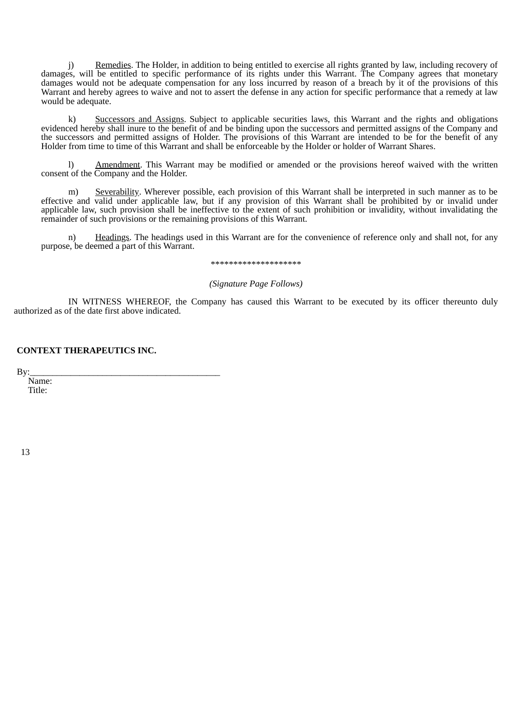j) Remedies. The Holder, in addition to being entitled to exercise all rights granted by law, including recovery of damages, will be entitled to specific performance of its rights under this Warrant. The Company agrees that monetary damages would not be adequate compensation for any loss incurred by reason of a breach by it of the provisions of this Warrant and hereby agrees to waive and not to assert the defense in any action for specific performance that a remedy at law would be adequate.

k) Successors and Assigns. Subject to applicable securities laws, this Warrant and the rights and obligations evidenced hereby shall inure to the benefit of and be binding upon the successors and permitted assigns of the Company and the successors and permitted assigns of Holder. The provisions of this Warrant are intended to be for the benefit of any Holder from time to time of this Warrant and shall be enforceable by the Holder or holder of Warrant Shares.

Amendment. This Warrant may be modified or amended or the provisions hereof waived with the written consent of the Company and the Holder.

m) Severability. Wherever possible, each provision of this Warrant shall be interpreted in such manner as to be effective and valid under applicable law, but if any provision of this Warrant shall be prohibited by or invalid under applicable law, such provision shall be ineffective to the extent of such prohibition or invalidity, without invalidating the remainder of such provisions or the remaining provisions of this Warrant.

n) Headings. The headings used in this Warrant are for the convenience of reference only and shall not, for any purpose, be deemed a part of this Warrant.

## \*\*\*\*\*\*\*\*\*\*\*\*\*\*\*\*\*\*\*\*

## *(Signature Page Follows)*

IN WITNESS WHEREOF, the Company has caused this Warrant to be executed by its officer thereunto duly authorized as of the date first above indicated.

## **CONTEXT THERAPEUTICS INC.**

By:\_\_\_\_\_\_\_\_\_\_\_\_\_\_\_\_\_\_\_\_\_\_\_\_\_\_\_\_\_\_\_\_\_\_\_\_\_\_\_\_\_\_

 Name: Title: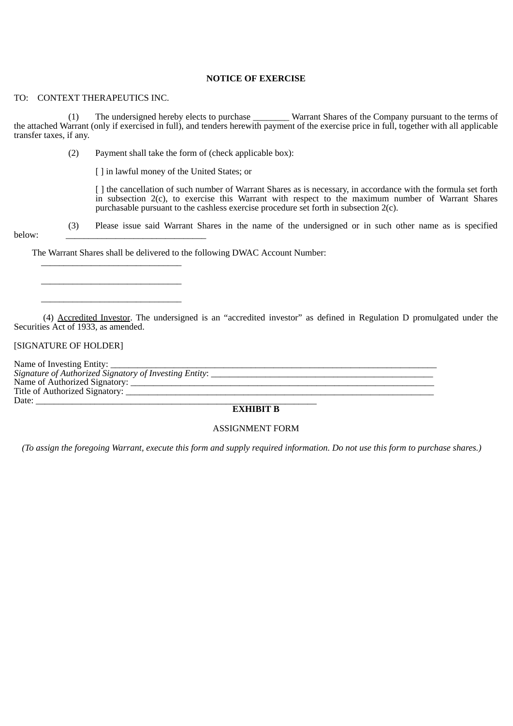# **NOTICE OF EXERCISE**

# TO: CONTEXT THERAPEUTICS INC.

(1) The undersigned hereby elects to purchase \_\_\_\_\_\_\_\_ Warrant Shares of the Company pursuant to the terms of the attached Warrant (only if exercised in full), and tenders herewith payment of the exercise price in full, together with all applicable transfer taxes, if any.

(2) Payment shall take the form of (check applicable box):

[ ] in lawful money of the United States; or

[ ] the cancellation of such number of Warrant Shares as is necessary, in accordance with the formula set forth in subsection 2(c), to exercise this Warrant with respect to the maximum number of Warrant Shares purchasable pursuant to the cashless exercise procedure set forth in subsection 2(c).

(3) Please issue said Warrant Shares in the name of the undersigned or in such other name as is specified below:

 The Warrant Shares shall be delivered to the following DWAC Account Number:  $\overline{\phantom{a}}$  ,  $\overline{\phantom{a}}$  ,  $\overline{\phantom{a}}$  ,  $\overline{\phantom{a}}$  ,  $\overline{\phantom{a}}$  ,  $\overline{\phantom{a}}$  ,  $\overline{\phantom{a}}$  ,  $\overline{\phantom{a}}$  ,  $\overline{\phantom{a}}$  ,  $\overline{\phantom{a}}$  ,  $\overline{\phantom{a}}$  ,  $\overline{\phantom{a}}$  ,  $\overline{\phantom{a}}$  ,  $\overline{\phantom{a}}$  ,  $\overline{\phantom{a}}$  ,  $\overline{\phantom{a}}$ 

(4) Accredited Investor. The undersigned is an "accredited investor" as defined in Regulation D promulgated under the Securities Act of 1933, as amended.

[SIGNATURE OF HOLDER]

 $\overline{\phantom{a}}$  ,  $\overline{\phantom{a}}$  ,  $\overline{\phantom{a}}$  ,  $\overline{\phantom{a}}$  ,  $\overline{\phantom{a}}$  ,  $\overline{\phantom{a}}$  ,  $\overline{\phantom{a}}$  ,  $\overline{\phantom{a}}$  ,  $\overline{\phantom{a}}$  ,  $\overline{\phantom{a}}$  ,  $\overline{\phantom{a}}$  ,  $\overline{\phantom{a}}$  ,  $\overline{\phantom{a}}$  ,  $\overline{\phantom{a}}$  ,  $\overline{\phantom{a}}$  ,  $\overline{\phantom{a}}$ 

 $\overline{\phantom{a}}$  ,  $\overline{\phantom{a}}$  ,  $\overline{\phantom{a}}$  ,  $\overline{\phantom{a}}$  ,  $\overline{\phantom{a}}$  ,  $\overline{\phantom{a}}$  ,  $\overline{\phantom{a}}$  ,  $\overline{\phantom{a}}$  ,  $\overline{\phantom{a}}$  ,  $\overline{\phantom{a}}$  ,  $\overline{\phantom{a}}$  ,  $\overline{\phantom{a}}$  ,  $\overline{\phantom{a}}$  ,  $\overline{\phantom{a}}$  ,  $\overline{\phantom{a}}$  ,  $\overline{\phantom{a}}$ 

Name of Investing Entity: *Signature of Authorized Signatory of Investing Entity*: \_\_\_\_\_\_\_\_\_\_\_\_\_\_\_\_\_\_\_\_\_\_\_\_\_\_\_\_\_\_\_\_\_\_\_\_\_\_\_\_\_\_\_\_\_\_\_\_\_ Name of Authorized Signatory: \_\_\_\_\_\_\_\_\_\_\_\_\_\_\_\_\_\_\_\_\_\_\_\_\_\_\_\_\_\_\_\_\_\_\_\_\_\_\_\_\_\_\_\_\_\_\_\_\_\_\_\_\_\_\_\_\_\_\_\_\_\_\_\_\_\_\_ Title of Authorized Signatory: \_\_\_\_\_\_\_\_\_\_\_\_\_\_\_\_\_\_\_\_\_\_\_\_\_\_\_\_\_\_\_\_\_\_\_\_\_\_\_\_\_\_\_\_\_\_\_\_\_\_\_\_\_\_\_\_\_\_\_\_\_\_\_\_\_\_\_\_ Date: \_\_\_\_\_\_\_\_\_\_\_\_\_\_\_\_\_\_\_\_\_\_\_\_\_\_\_\_\_\_\_\_\_\_\_\_\_\_\_\_\_\_\_\_\_\_\_\_\_\_\_\_\_\_\_\_\_\_\_\_\_\_

# **EXHIBIT B**

# ASSIGNMENT FORM

*(To assign the foregoing Warrant, execute this form and supply required information. Do not use this form to purchase shares.)*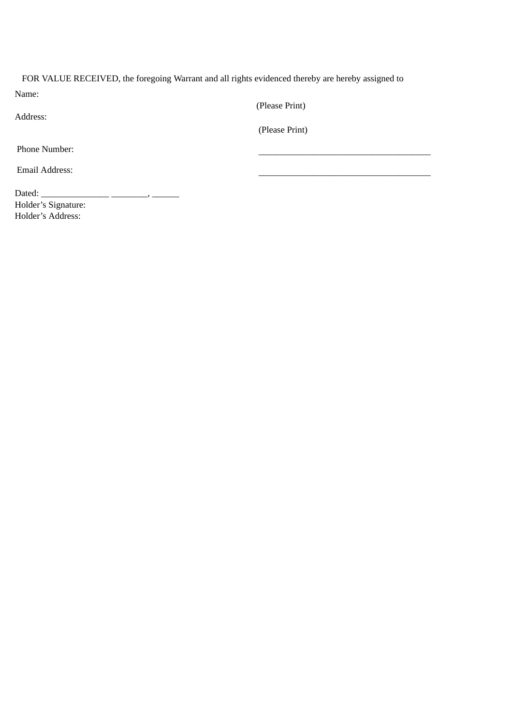FOR VALUE RECEIVED, the foregoing Warrant and all rights evidenced thereby are hereby assigned to

Name:

Address:

(Please Print)

(Please Print)

\_\_\_\_\_\_\_\_\_\_\_\_\_\_\_\_\_\_\_\_\_\_\_\_\_\_\_\_\_\_\_\_\_\_\_\_\_\_

\_\_\_\_\_\_\_\_\_\_\_\_\_\_\_\_\_\_\_\_\_\_\_\_\_\_\_\_\_\_\_\_\_\_\_\_\_\_

Phone Number:

Email Address:

Dated: \_\_\_\_\_\_\_\_\_\_\_\_\_\_\_ \_\_\_\_\_\_\_\_, \_\_\_\_\_\_

Holder's Signature: Holder's Address: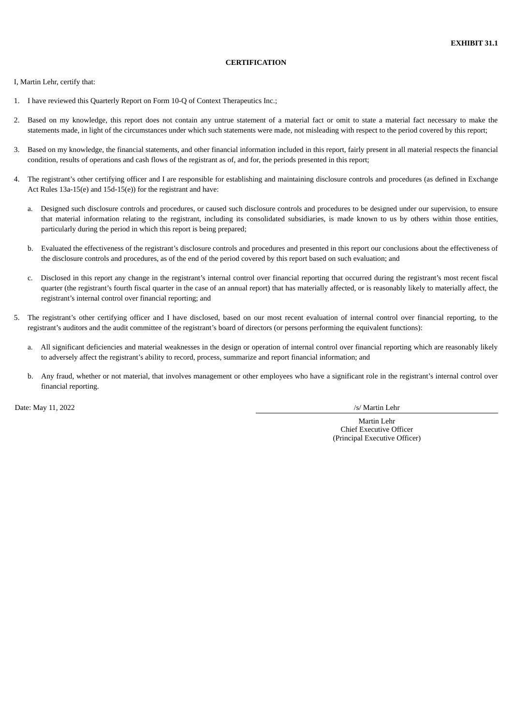## **CERTIFICATION**

<span id="page-46-0"></span>I, Martin Lehr, certify that:

- 1. I have reviewed this Quarterly Report on Form 10-Q of Context Therapeutics Inc.;
- 2. Based on my knowledge, this report does not contain any untrue statement of a material fact or omit to state a material fact necessary to make the statements made, in light of the circumstances under which such statements were made, not misleading with respect to the period covered by this report;
- 3. Based on my knowledge, the financial statements, and other financial information included in this report, fairly present in all material respects the financial condition, results of operations and cash flows of the registrant as of, and for, the periods presented in this report;
- 4. The registrant's other certifying officer and I are responsible for establishing and maintaining disclosure controls and procedures (as defined in Exchange Act Rules 13a-15(e) and 15d-15(e)) for the registrant and have:
	- a. Designed such disclosure controls and procedures, or caused such disclosure controls and procedures to be designed under our supervision, to ensure that material information relating to the registrant, including its consolidated subsidiaries, is made known to us by others within those entities, particularly during the period in which this report is being prepared;
	- b. Evaluated the effectiveness of the registrant's disclosure controls and procedures and presented in this report our conclusions about the effectiveness of the disclosure controls and procedures, as of the end of the period covered by this report based on such evaluation; and
	- c. Disclosed in this report any change in the registrant's internal control over financial reporting that occurred during the registrant's most recent fiscal quarter (the registrant's fourth fiscal quarter in the case of an annual report) that has materially affected, or is reasonably likely to materially affect, the registrant's internal control over financial reporting; and
- 5. The registrant's other certifying officer and I have disclosed, based on our most recent evaluation of internal control over financial reporting, to the registrant's auditors and the audit committee of the registrant's board of directors (or persons performing the equivalent functions):
	- a. All significant deficiencies and material weaknesses in the design or operation of internal control over financial reporting which are reasonably likely to adversely affect the registrant's ability to record, process, summarize and report financial information; and
	- b. Any fraud, whether or not material, that involves management or other employees who have a significant role in the registrant's internal control over financial reporting.

Date: May 11, 2022 /s/ Martin Lehr

Martin Lehr Chief Executive Officer (Principal Executive Officer)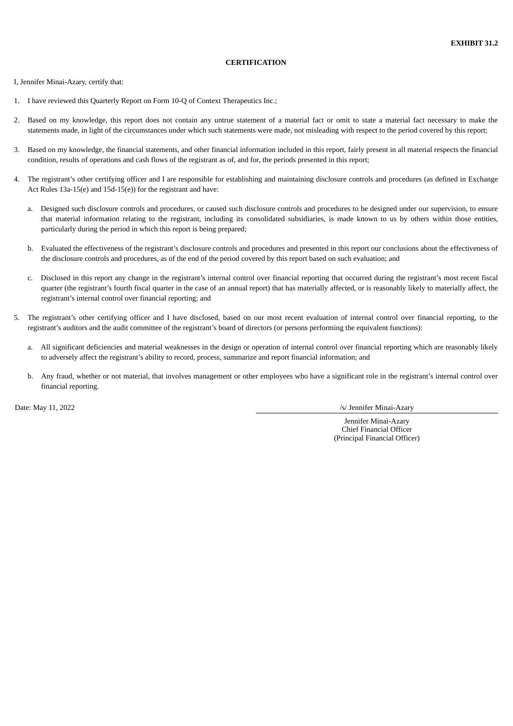## **CERTIFICATION**

<span id="page-47-0"></span>I, Jennifer Minai-Azary, certify that:

- 1. I have reviewed this Quarterly Report on Form 10-Q of Context Therapeutics Inc.;
- 2. Based on my knowledge, this report does not contain any untrue statement of a material fact or omit to state a material fact necessary to make the statements made, in light of the circumstances under which such statements were made, not misleading with respect to the period covered by this report;
- 3. Based on my knowledge, the financial statements, and other financial information included in this report, fairly present in all material respects the financial condition, results of operations and cash flows of the registrant as of, and for, the periods presented in this report;
- 4. The registrant's other certifying officer and I are responsible for establishing and maintaining disclosure controls and procedures (as defined in Exchange Act Rules 13a-15(e) and 15d-15(e)) for the registrant and have:
	- a. Designed such disclosure controls and procedures, or caused such disclosure controls and procedures to be designed under our supervision, to ensure that material information relating to the registrant, including its consolidated subsidiaries, is made known to us by others within those entities, particularly during the period in which this report is being prepared;
	- b. Evaluated the effectiveness of the registrant's disclosure controls and procedures and presented in this report our conclusions about the effectiveness of the disclosure controls and procedures, as of the end of the period covered by this report based on such evaluation; and
	- c. Disclosed in this report any change in the registrant's internal control over financial reporting that occurred during the registrant's most recent fiscal quarter (the registrant's fourth fiscal quarter in the case of an annual report) that has materially affected, or is reasonably likely to materially affect, the registrant's internal control over financial reporting; and
- 5. The registrant's other certifying officer and I have disclosed, based on our most recent evaluation of internal control over financial reporting, to the registrant's auditors and the audit committee of the registrant's board of directors (or persons performing the equivalent functions):
	- a. All significant deficiencies and material weaknesses in the design or operation of internal control over financial reporting which are reasonably likely to adversely affect the registrant's ability to record, process, summarize and report financial information; and
	- b. Any fraud, whether or not material, that involves management or other employees who have a significant role in the registrant's internal control over financial reporting.

Date: May 11, 2022 /s/ Jennifer Minai-Azary

Jennifer Minai-Azary Chief Financial Officer (Principal Financial Officer)